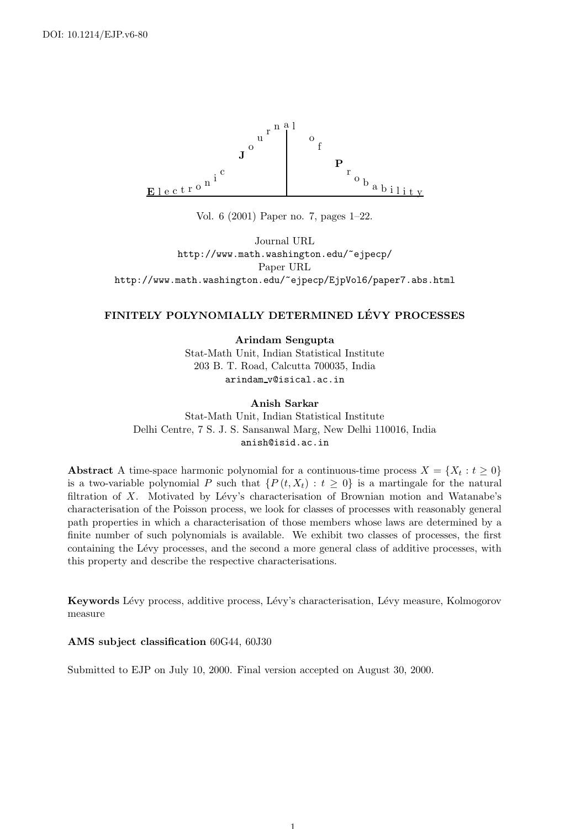

Vol. 6 (2001) Paper no. 7, pages 1–22.

Journal URL http://www.math.washington.edu/~ejpecp/ Paper URL http://www.math.washington.edu/~ejpecp/EjpVol6/paper7.abs.html

## FINITELY POLYNOMIALLY DETERMINED LÉVY PROCESSES

Arindam Sengupta

Stat-Math Unit, Indian Statistical Institute 203 B. T. Road, Calcutta 700035, India arindam v@isical.ac.in

#### Anish Sarkar

Stat-Math Unit, Indian Statistical Institute Delhi Centre, 7 S. J. S. Sansanwal Marg, New Delhi 110016, India anish@isid.ac.in

Abstract A time-space harmonic polynomial for a continuous-time process  $X = \{X_t : t \geq 0\}$ is a two-variable polynomial P such that  $\{P(t, X_t): t \geq 0\}$  is a martingale for the natural filtration of X. Motivated by Lévy's characterisation of Brownian motion and Watanabe's characterisation of the Poisson process, we look for classes of processes with reasonably general path properties in which a characterisation of those members whose laws are determined by a finite number of such polynomials is available. We exhibit two classes of processes, the first containing the Lévy processes, and the second a more general class of additive processes, with this property and describe the respective characterisations.

Keywords Lévy process, additive process, Lévy's characterisation, Lévy measure, Kolmogorov measure

#### AMS subject classification 60G44, 60J30

Submitted to EJP on July 10, 2000. Final version accepted on August 30, 2000.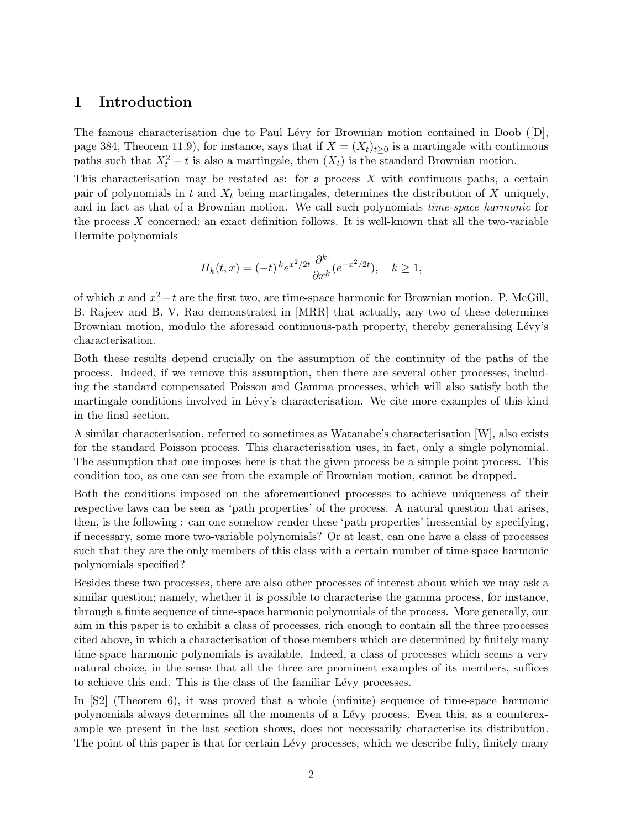### 1 Introduction

The famous characterisation due to Paul Lévy for Brownian motion contained in Doob  $([D],$ page 384, Theorem 11.9), for instance, says that if  $X = (X_t)_{t>0}$  is a martingale with continuous paths such that  $X_t^2 - t$  is also a martingale, then  $(X_t)$  is the standard Brownian motion.

This characterisation may be restated as: for a process  $X$  with continuous paths, a certain pair of polynomials in  $t$  and  $X_t$  being martingales, determines the distribution of  $X$  uniquely, and in fact as that of a Brownian motion. We call such polynomials time-space harmonic for the process X concerned; an exact definition follows. It is well-known that all the two-variable Hermite polynomials

$$
H_k(t, x) = (-t)^k e^{x^2/2t} \frac{\partial^k}{\partial x^k} (e^{-x^2/2t}), \quad k \ge 1,
$$

of which x and  $x^2 - t$  are the first two, are time-space harmonic for Brownian motion. P. McGill, B. Rajeev and B. V. Rao demonstrated in [MRR] that actually, any two of these determines Brownian motion, modulo the aforesaid continuous-path property, thereby generalising Lévy's characterisation.

Both these results depend crucially on the assumption of the continuity of the paths of the process. Indeed, if we remove this assumption, then there are several other processes, including the standard compensated Poisson and Gamma processes, which will also satisfy both the martingale conditions involved in Lévy's characterisation. We cite more examples of this kind in the final section.

A similar characterisation, referred to sometimes as Watanabe's characterisation [W], also exists for the standard Poisson process. This characterisation uses, in fact, only a single polynomial. The assumption that one imposes here is that the given process be a simple point process. This condition too, as one can see from the example of Brownian motion, cannot be dropped.

Both the conditions imposed on the aforementioned processes to achieve uniqueness of their respective laws can be seen as 'path properties' of the process. A natural question that arises, then, is the following : can one somehow render these 'path properties' inessential by specifying, if necessary, some more two-variable polynomials? Or at least, can one have a class of processes such that they are the only members of this class with a certain number of time-space harmonic polynomials specified?

Besides these two processes, there are also other processes of interest about which we may ask a similar question; namely, whether it is possible to characterise the gamma process, for instance, through a finite sequence of time-space harmonic polynomials of the process. More generally, our aim in this paper is to exhibit a class of processes, rich enough to contain all the three processes cited above, in which a characterisation of those members which are determined by finitely many time-space harmonic polynomials is available. Indeed, a class of processes which seems a very natural choice, in the sense that all the three are prominent examples of its members, suffices to achieve this end. This is the class of the familiar Lévy processes.

In [S2] (Theorem 6), it was proved that a whole (infinite) sequence of time-space harmonic polynomials always determines all the moments of a L´evy process. Even this, as a counterexample we present in the last section shows, does not necessarily characterise its distribution. The point of this paper is that for certain Lévy processes, which we describe fully, finitely many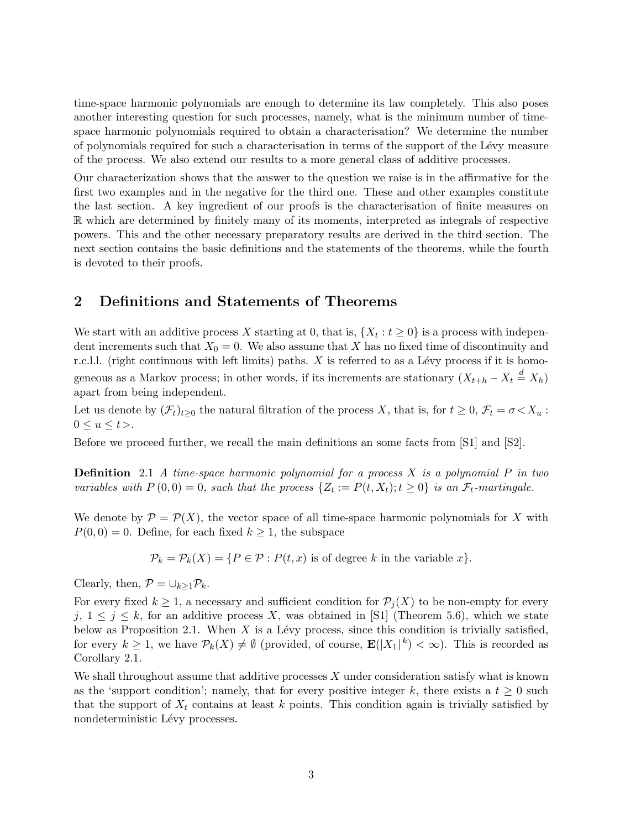time-space harmonic polynomials are enough to determine its law completely. This also poses another interesting question for such processes, namely, what is the minimum number of timespace harmonic polynomials required to obtain a characterisation? We determine the number of polynomials required for such a characterisation in terms of the support of the L´evy measure of the process. We also extend our results to a more general class of additive processes.

Our characterization shows that the answer to the question we raise is in the affirmative for the first two examples and in the negative for the third one. These and other examples constitute the last section. A key ingredient of our proofs is the characterisation of finite measures on <sup>R</sup> which are determined by finitely many of its moments, interpreted as integrals of respective powers. This and the other necessary preparatory results are derived in the third section. The next section contains the basic definitions and the statements of the theorems, while the fourth is devoted to their proofs.

# 2 Definitions and Statements of Theorems

We start with an additive process X starting at 0, that is,  $\{X_t : t \ge 0\}$  is a process with independent increments such that  $X_0 = 0$ . We also assume that X has no fixed time of discontinuity and r.c.l.l. (right continuous with left limits) paths.  $X$  is referred to as a Lévy process if it is homogeneous as a Markov process; in other words, if its increments are stationary  $(X_{t+h} - X_t \stackrel{d}{=} X_h)$ apart from being independent.

Let us denote by  $(\mathcal{F}_t)_{t\geq0}$  the natural filtration of the process X, that is, for  $t\geq0$ ,  $\mathcal{F}_t=\sigma\langle X_u:$  $0 \le u \le t$ .

Before we proceed further, we recall the main definitions an some facts from [S1] and [S2].

**Definition** 2.1 A time-space harmonic polynomial for a process  $X$  is a polynomial  $P$  in two variables with  $P(0,0) = 0$ , such that the process  $\{Z_t := P(t,X_t); t \ge 0\}$  is an  $\mathcal{F}_t$ -martingale.

We denote by  $\mathcal{P} = \mathcal{P}(X)$ , the vector space of all time-space harmonic polynomials for X with  $P(0,0) = 0$ . Define, for each fixed  $k \ge 1$ , the subspace

 $\mathcal{P}_k = \mathcal{P}_k(X) = \{P \in \mathcal{P} : P(t, x) \text{ is of degree } k \text{ in the variable } x\}.$ 

Clearly, then,  $\mathcal{P} = \cup_{k\geq 1} \mathcal{P}_k$ .

For every fixed  $k \geq 1$ , a necessary and sufficient condition for  $\mathcal{P}_j(X)$  to be non-empty for every j,  $1 \leq j \leq k$ , for an additive process X, was obtained in [S1] (Theorem 5.6), which we state below as Proposition 2.1. When  $X$  is a Lévy process, since this condition is trivially satisfied, for every  $k \geq 1$ , we have  $\mathcal{P}_k(X) \neq \emptyset$  (provided, of course,  $\mathbf{E}(|X_1|^k) < \infty$ ). This is recorded as Corollary 2.1.

We shall throughout assume that additive processes  $X$  under consideration satisfy what is known as the 'support condition'; namely, that for every positive integer k, there exists a  $t \geq 0$  such that the support of  $X_t$  contains at least k points. This condition again is trivially satisfied by nondeterministic Lévy processes.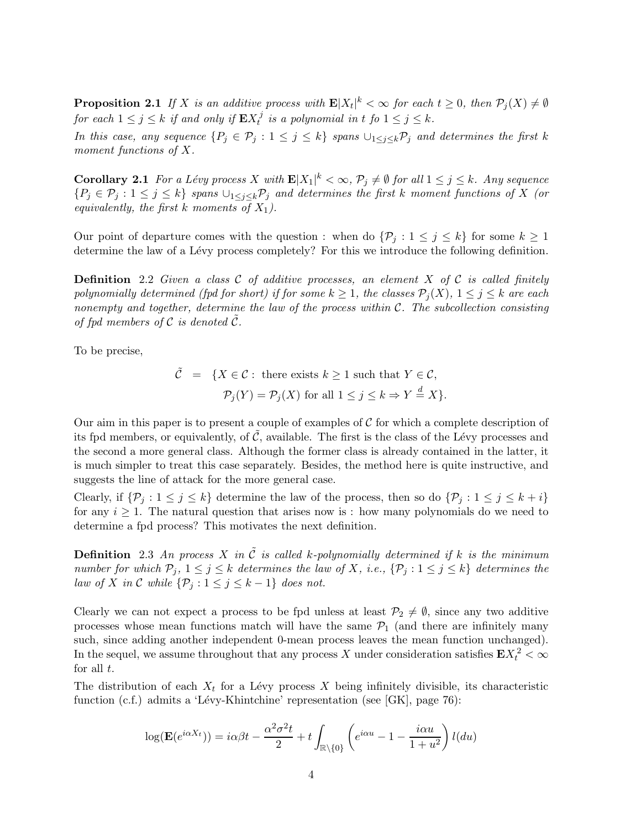**Proposition 2.1** If X is an additive process with  $\mathbf{E}|X_t|^k < \infty$  for each  $t \geq 0$ , then  $\mathcal{P}_j(X) \neq \emptyset$ for each  $1 \leq j \leq k$  if and only if  $\mathbf{E} X_t^j$  $t_i^j$  is a polynomial in t fo  $1 \leq j \leq k$ .

In this case, any sequence  $\{P_j \in \mathcal{P}_j : 1 \leq j \leq k\}$  spans  $\bigcup_{1 \leq j \leq k} \mathcal{P}_j$  and determines the first k moment functions of X.

**Corollary 2.1** For a Lévy process X with  $\mathbf{E}|X_1|^k < \infty$ ,  $\mathcal{P}_j \neq \emptyset$  for all  $1 \leq j \leq k$ . Any sequence  ${P_j \in \mathcal{P}_j : 1 \leq j \leq k}$  spans  $\cup_{1 \leq j \leq k} \mathcal{P}_j$  and determines the first k moment functions of X (or equivalently, the first k moments of  $X_1$ ).

Our point of departure comes with the question : when do  $\{\mathcal{P}_j : 1 \leq j \leq k\}$  for some  $k \geq 1$ determine the law of a Lévy process completely? For this we introduce the following definition.

**Definition** 2.2 Given a class C of additive processes, an element X of C is called finitely polynomially determined (fpd for short) if for some  $k \geq 1$ , the classes  $\mathcal{P}_j(X)$ ,  $1 \leq j \leq k$  are each nonempty and together, determine the law of the process within  $C$ . The subcollection consisting of fpd members of  $\mathcal C$  is denoted  $\mathcal C$ .

To be precise,

 $\tilde{\mathcal{C}} = \{X \in \mathcal{C} : \text{ there exists } k \geq 1 \text{ such that } Y \in \mathcal{C},\}$  $\mathcal{P}_j(Y) = \mathcal{P}_j(X)$  for all  $1 \leq j \leq k \Rightarrow Y \stackrel{d}{=} X$ .

Our aim in this paper is to present a couple of examples of  $\mathcal C$  for which a complete description of its fpd members, or equivalently, of  $\mathcal{C}$ , available. The first is the class of the Lévy processes and the second a more general class. Although the former class is already contained in the latter, it is much simpler to treat this case separately. Besides, the method here is quite instructive, and suggests the line of attack for the more general case.

Clearly, if  $\{\mathcal{P}_j : 1 \leq j \leq k\}$  determine the law of the process, then so do  $\{\mathcal{P}_j : 1 \leq j \leq k+i\}$ for any  $i \geq 1$ . The natural question that arises now is : how many polynomials do we need to determine a fpd process? This motivates the next definition.

**Definition** 2.3 An process X in  $\tilde{C}$  is called k-polynomially determined if k is the minimum number for which  $P_j$ ,  $1 \leq j \leq k$  determines the law of X, i.e.,  $\{\mathcal{P}_j : 1 \leq j \leq k\}$  determines the law of X in C while  $\{\mathcal{P}_j : 1 \le j \le k-1\}$  does not.

Clearly we can not expect a process to be fpd unless at least  $\mathcal{P}_2 \neq \emptyset$ , since any two additive processes whose mean functions match will have the same  $\mathcal{P}_1$  (and there are infinitely many such, since adding another independent 0-mean process leaves the mean function unchanged). In the sequel, we assume throughout that any process X under consideration satisfies  $\mathbf{E} X_t^2 < \infty$ for all  $t$ .

The distribution of each  $X_t$  for a Lévy process X being infinitely divisible, its characteristic function (c.f.) admits a 'Lévy-Khintchine' representation (see [GK], page 76):

$$
\log(\mathbf{E}(e^{i\alpha X_t})) = i\alpha\beta t - \frac{\alpha^2 \sigma^2 t}{2} + t \int_{\mathbb{R}\backslash\{0\}} \left( e^{i\alpha u} - 1 - \frac{i\alpha u}{1 + u^2} \right) l(du)
$$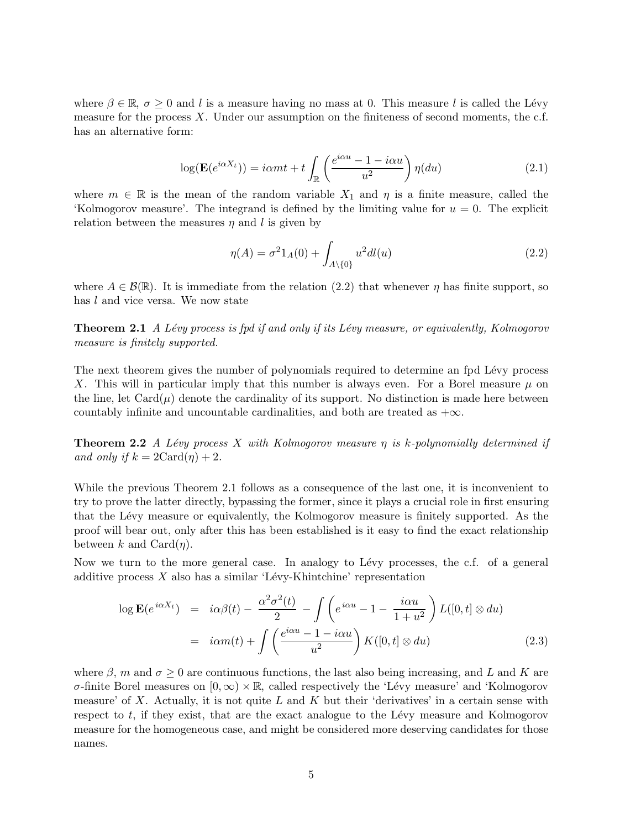where  $\beta \in \mathbb{R}$ ,  $\sigma \geq 0$  and l is a measure having no mass at 0. This measure l is called the Lévy measure for the process  $X$ . Under our assumption on the finiteness of second moments, the c.f. has an alternative form:

$$
\log(\mathbf{E}(e^{i\alpha X_t})) = i\alpha m t + t \int_{\mathbb{R}} \left( \frac{e^{i\alpha u} - 1 - i\alpha u}{u^2} \right) \eta(du)
$$
 (2.1)

where  $m \in \mathbb{R}$  is the mean of the random variable  $X_1$  and  $\eta$  is a finite measure, called the 'Kolmogorov measure'. The integrand is defined by the limiting value for  $u = 0$ . The explicit relation between the measures  $\eta$  and l is given by

$$
\eta(A) = \sigma^2 1_A(0) + \int_{A \setminus \{0\}} u^2 dl(u) \tag{2.2}
$$

where  $A \in \mathcal{B}(\mathbb{R})$ . It is immediate from the relation (2.2) that whenever  $\eta$  has finite support, so has l and vice versa. We now state

**Theorem 2.1** A Lévy process is fpd if and only if its Lévy measure, or equivalently, Kolmogorov measure is finitely supported.

The next theorem gives the number of polynomials required to determine an fpd Lévy process X. This will in particular imply that this number is always even. For a Borel measure  $\mu$  on the line, let  $Card(\mu)$  denote the cardinality of its support. No distinction is made here between countably infinite and uncountable cardinalities, and both are treated as  $+\infty$ .

**Theorem 2.2** A Lévy process X with Kolmogorov measure  $\eta$  is k-polynomially determined if and only if  $k = 2\text{Card}(\eta) + 2$ .

While the previous Theorem 2.1 follows as a consequence of the last one, it is inconvenient to try to prove the latter directly, bypassing the former, since it plays a crucial role in first ensuring that the L´evy measure or equivalently, the Kolmogorov measure is finitely supported. As the proof will bear out, only after this has been established is it easy to find the exact relationship between k and  $Card(n)$ .

Now we turn to the more general case. In analogy to Lévy processes, the c.f. of a general additive process  $X$  also has a similar 'Lévy-Khintchine' representation

$$
\log \mathbf{E}(e^{i\alpha X_t}) = i\alpha\beta(t) - \frac{\alpha^2 \sigma^2(t)}{2} - \int \left(e^{i\alpha u} - 1 - \frac{i\alpha u}{1 + u^2}\right) L([0, t] \otimes du)
$$
  
=  $i\alpha m(t) + \int \left(\frac{e^{i\alpha u} - 1 - i\alpha u}{u^2}\right) K([0, t] \otimes du)$  (2.3)

where  $\beta$ , m and  $\sigma \geq 0$  are continuous functions, the last also being increasing, and L and K are σ-finite Borel measures on [0,∞) × <sup>R</sup>, called respectively the 'L´evy measure' and 'Kolmogorov measure' of X. Actually, it is not quite L and K but their 'derivatives' in a certain sense with respect to  $t$ , if they exist, that are the exact analogue to the Lévy measure and Kolmogorov measure for the homogeneous case, and might be considered more deserving candidates for those names.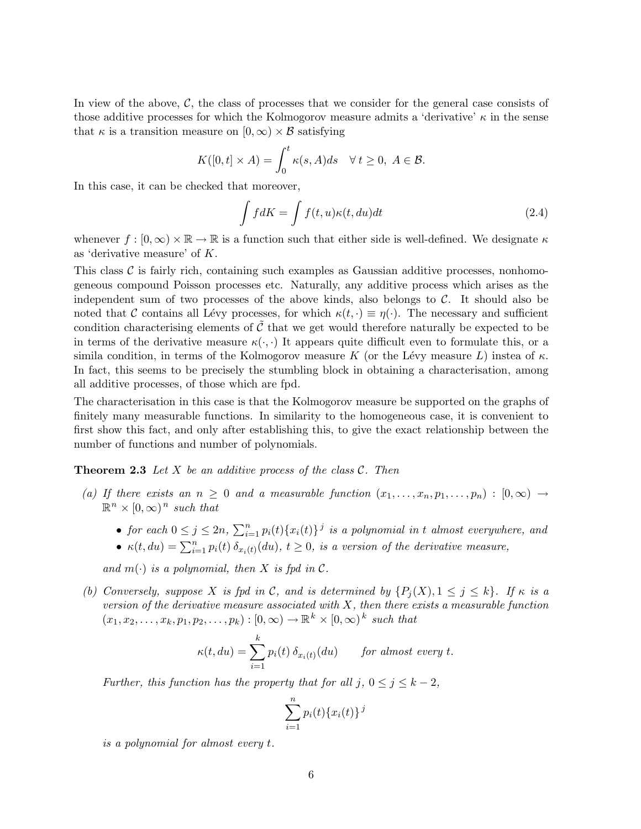In view of the above,  $\mathcal{C}$ , the class of processes that we consider for the general case consists of those additive processes for which the Kolmogorov measure admits a 'derivative'  $\kappa$  in the sense that  $\kappa$  is a transition measure on  $[0,\infty) \times \mathcal{B}$  satisfying

$$
K([0,t] \times A) = \int_0^t \kappa(s, A)ds \quad \forall \, t \ge 0, \ A \in \mathcal{B}.
$$

In this case, it can be checked that moreover,

$$
\int f dK = \int f(t, u)\kappa(t, du)dt
$$
\n(2.4)

whenever  $f : [0, \infty) \times \mathbb{R} \to \mathbb{R}$  is a function such that either side is well-defined. We designate  $\kappa$ as 'derivative measure' of K.

This class  $\mathcal C$  is fairly rich, containing such examples as Gaussian additive processes, nonhomogeneous compound Poisson processes etc. Naturally, any additive process which arises as the independent sum of two processes of the above kinds, also belongs to  $C$ . It should also be noted that C contains all Lévy processes, for which  $\kappa(t, \cdot) \equiv \eta(\cdot)$ . The necessary and sufficient condition characterising elements of  $\tilde{\mathcal{C}}$  that we get would therefore naturally be expected to be in terms of the derivative measure  $\kappa(\cdot, \cdot)$  It appears quite difficult even to formulate this, or a simila condition, in terms of the Kolmogorov measure K (or the Lévy measure L) instea of  $\kappa$ . In fact, this seems to be precisely the stumbling block in obtaining a characterisation, among all additive processes, of those which are fpd.

The characterisation in this case is that the Kolmogorov measure be supported on the graphs of finitely many measurable functions. In similarity to the homogeneous case, it is convenient to first show this fact, and only after establishing this, to give the exact relationship between the number of functions and number of polynomials.

**Theorem 2.3** Let X be an additive process of the class  $\mathcal{C}$ . Then

- (a) If there exists an  $n \geq 0$  and a measurable function  $(x_1, \ldots, x_n, p_1, \ldots, p_n) : [0, \infty) \rightarrow$  $\mathbb{R}^n \times [0,\infty)^n$  such that
	- for each  $0 \leq j \leq 2n$ ,  $\sum_{i=1}^{n} p_i(t) \{x_i(t)\}^j$  is a polynomial in t almost everywhere, and
	- $\kappa(t, du) = \sum_{i=1}^n p_i(t) \, \delta_{x_i(t)}(du), t \ge 0$ , is a version of the derivative measure,

and  $m(\cdot)$  is a polynomial, then X is fpd in C.

(b) Conversely, suppose X is fpd in C, and is determined by  $\{P_i(X), 1 \leq j \leq k\}$ . If  $\kappa$  is a version of the derivative measure associated with  $X$ , then there exists a measurable function  $(x_1, x_2,...,x_k, p_1, p_2,...,p_k) : [0, \infty) \to \mathbb{R}^k \times [0, \infty)^k$  such that

$$
\kappa(t, du) = \sum_{i=1}^{k} p_i(t) \, \delta_{x_i(t)}(du) \qquad \text{for almost every } t.
$$

Further, this function has the property that for all j,  $0 \le j \le k-2$ ,

$$
\sum_{i=1}^{n} p_i(t) \{x_i(t)\}^j
$$

is a polynomial for almost every t.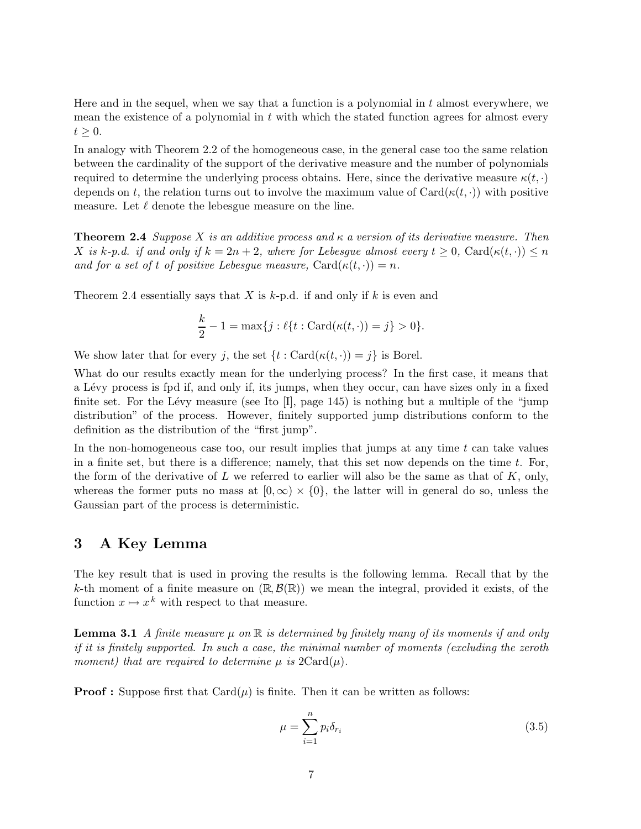Here and in the sequel, when we say that a function is a polynomial in  $t$  almost everywhere, we mean the existence of a polynomial in  $t$  with which the stated function agrees for almost every  $t \geq 0$ .

In analogy with Theorem 2.2 of the homogeneous case, in the general case too the same relation between the cardinality of the support of the derivative measure and the number of polynomials required to determine the underlying process obtains. Here, since the derivative measure  $\kappa(t, \cdot)$ depends on t, the relation turns out to involve the maximum value of  $Card(\kappa(t, \cdot))$  with positive measure. Let  $\ell$  denote the lebesgue measure on the line.

**Theorem 2.4** Suppose X is an additive process and  $\kappa$  a version of its derivative measure. Then X is k-p.d. if and only if  $k = 2n + 2$ , where for Lebesque almost every  $t \geq 0$ , Card $(\kappa(t, \cdot)) \leq n$ and for a set of t of positive Lebesgue measure,  $\text{Card}(\kappa(t, \cdot)) = n$ .

Theorem 2.4 essentially says that X is  $k$ -p.d. if and only if k is even and

$$
\frac{k}{2} - 1 = \max\{j : \ell\{t : \text{Card}(\kappa(t, \cdot)) = j\} > 0\}.
$$

We show later that for every j, the set  $\{t : \text{Card}(\kappa(t, \cdot)) = j\}$  is Borel.

What do our results exactly mean for the underlying process? In the first case, it means that a L´evy process is fpd if, and only if, its jumps, when they occur, can have sizes only in a fixed finite set. For the Lévy measure (see Ito  $[I]$ , page 145) is nothing but a multiple of the "jump" distribution" of the process. However, finitely supported jump distributions conform to the definition as the distribution of the "first jump".

In the non-homogeneous case too, our result implies that jumps at any time  $t$  can take values in a finite set, but there is a difference; namely, that this set now depends on the time  $t$ . For, the form of the derivative of  $L$  we referred to earlier will also be the same as that of  $K$ , only, whereas the former puts no mass at  $[0, \infty) \times \{0\}$ , the latter will in general do so, unless the Gaussian part of the process is deterministic.

### 3 A Key Lemma

The key result that is used in proving the results is the following lemma. Recall that by the k-th moment of a finite measure on  $(\mathbb{R}, \mathcal{B}(\mathbb{R}))$  we mean the integral, provided it exists, of the function  $x \mapsto x^k$  with respect to that measure.

**Lemma 3.1** A finite measure  $\mu$  on  $\mathbb R$  is determined by finitely many of its moments if and only if it is finitely supported. In such a case, the minimal number of moments (excluding the zeroth moment) that are required to determine  $\mu$  is  $2Card(\mu)$ .

**Proof :** Suppose first that  $Card(\mu)$  is finite. Then it can be written as follows:

$$
\mu = \sum_{i=1}^{n} p_i \delta_{r_i} \tag{3.5}
$$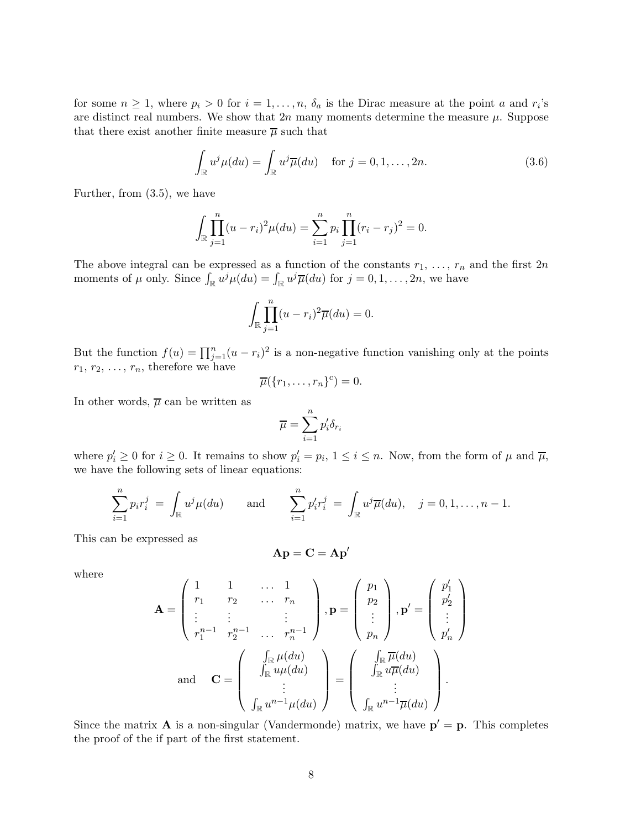for some  $n \geq 1$ , where  $p_i > 0$  for  $i = 1, \ldots, n$ ,  $\delta_a$  is the Dirac measure at the point a and  $r_i$ 's are distinct real numbers. We show that  $2n$  many moments determine the measure  $\mu$ . Suppose that there exist another finite measure  $\overline{\mu}$  such that

$$
\int_{\mathbb{R}} u^j \mu(du) = \int_{\mathbb{R}} u^j \overline{\mu}(du) \quad \text{for } j = 0, 1, \dots, 2n.
$$
 (3.6)

Further, from (3.5), we have

$$
\int_{\mathbb{R}} \prod_{j=1}^{n} (u - r_i)^2 \mu(du) = \sum_{i=1}^{n} p_i \prod_{j=1}^{n} (r_i - r_j)^2 = 0.
$$

The above integral can be expressed as a function of the constants  $r_1, \ldots, r_n$  and the first  $2n$ moments of  $\mu$  only. Since  $\int_{\mathbb{R}} u^j \mu(du) = \int_{\mathbb{R}} u^j \overline{\mu}(du)$  for  $j = 0, 1, ..., 2n$ , we have

$$
\int_{\mathbb{R}} \prod_{j=1}^{n} (u - r_i)^2 \overline{\mu}(du) = 0.
$$

But the function  $f(u) = \prod_{j=1}^{n} (u - r_i)^2$  is a non-negative function vanishing only at the points  $r_1, r_2, \ldots, r_n$ , therefore we have

$$
\overline{\mu}(\{r_1,\ldots,r_n\}^c)=0.
$$

In other words,  $\overline{\mu}$  can be written as

$$
\overline{\mu} = \sum_{i=1}^n p'_i \delta_{r_i}
$$

where  $p'_i \geq 0$  for  $i \geq 0$ . It remains to show  $p'_i = p_i$ ,  $1 \leq i \leq n$ . Now, from the form of  $\mu$  and  $\overline{\mu}$ , we have the following sets of linear equations:

$$
\sum_{i=1}^{n} p_i r_i^j = \int_{\mathbb{R}} u^j \mu(du) \quad \text{and} \quad \sum_{i=1}^{n} p'_i r_i^j = \int_{\mathbb{R}} u^j \overline{\mu}(du), \quad j = 0, 1, \dots, n-1.
$$

This can be expressed as

$$
\mathbf{A}\mathbf{p}=\mathbf{C}=\mathbf{A}\mathbf{p}'
$$

where

$$
\mathbf{A} = \begin{pmatrix} 1 & 1 & \dots & 1 \\ r_1 & r_2 & \dots & r_n \\ \vdots & \vdots & & \vdots \\ r_1^{n-1} & r_2^{n-1} & \dots & r_n^{n-1} \end{pmatrix}, \mathbf{p} = \begin{pmatrix} p_1 \\ p_2 \\ \vdots \\ p_n \end{pmatrix}, \mathbf{p'} = \begin{pmatrix} p'_1 \\ p'_2 \\ \vdots \\ p'_n \end{pmatrix}
$$
  
and 
$$
\mathbf{C} = \begin{pmatrix} \int_{\mathbb{R}} \mu(du) \\ \int_{\mathbb{R}} u\mu(du) \\ \vdots \\ \int_{\mathbb{R}} u^{n-1}\mu(du) \end{pmatrix} = \begin{pmatrix} \int_{\mathbb{R}} \overline{\mu}(du) \\ \int_{\mathbb{R}} u\overline{\mu}(du) \\ \vdots \\ \int_{\mathbb{R}} u^{n-1}\overline{\mu}(du) \end{pmatrix}.
$$

Since the matrix **A** is a non-singular (Vandermonde) matrix, we have  $p' = p$ . This completes the proof of the if part of the first statement.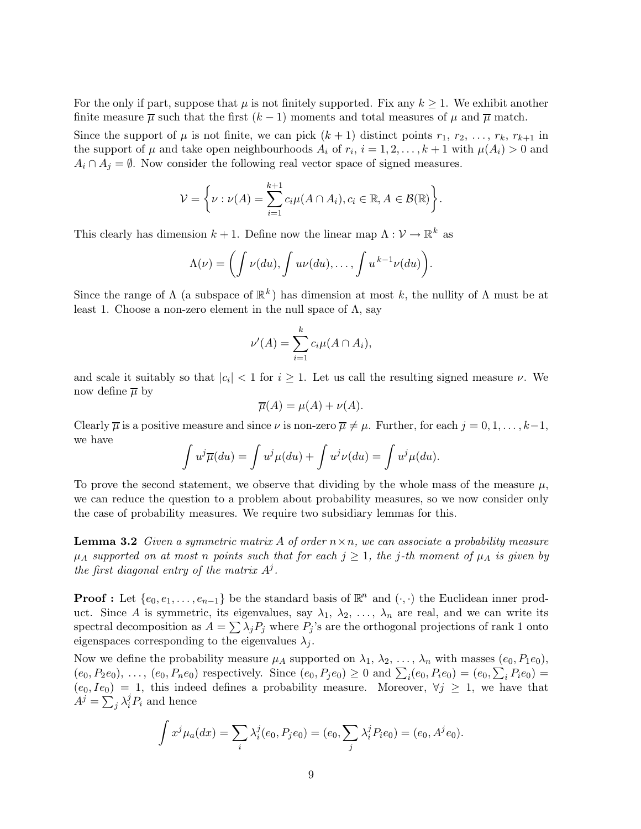For the only if part, suppose that  $\mu$  is not finitely supported. Fix any  $k \geq 1$ . We exhibit another finite measure  $\overline{\mu}$  such that the first  $(k-1)$  moments and total measures of  $\mu$  and  $\overline{\mu}$  match.

Since the support of  $\mu$  is not finite, we can pick  $(k+1)$  distinct points  $r_1, r_2, \ldots, r_k, r_{k+1}$  in the support of  $\mu$  and take open neighbourhoods  $A_i$  of  $r_i$ ,  $i = 1, 2, \ldots, k + 1$  with  $\mu(A_i) > 0$  and  $A_i \cap A_j = \emptyset$ . Now consider the following real vector space of signed measures.

$$
\mathcal{V} = \left\{ \nu : \nu(A) = \sum_{i=1}^{k+1} c_i \mu(A \cap A_i), c_i \in \mathbb{R}, A \in \mathcal{B}(\mathbb{R}) \right\}.
$$

This clearly has dimension  $k + 1$ . Define now the linear map  $\Lambda : \mathcal{V} \to \mathbb{R}^k$  as

$$
\Lambda(\nu) = \bigg(\int \nu(du), \int u\nu(du), \ldots, \int u^{k-1}\nu(du)\bigg).
$$

Since the range of  $\Lambda$  (a subspace of  $\mathbb{R}^k$ ) has dimension at most k, the nullity of  $\Lambda$  must be at least 1. Choose a non-zero element in the null space of  $\Lambda$ , say

$$
\nu'(A) = \sum_{i=1}^{k} c_i \mu(A \cap A_i),
$$

and scale it suitably so that  $|c_i| < 1$  for  $i \geq 1$ . Let us call the resulting signed measure  $\nu$ . We now define  $\overline{\mu}$  by

$$
\overline{\mu}(A) = \mu(A) + \nu(A).
$$

Clearly  $\overline{\mu}$  is a positive measure and since  $\nu$  is non-zero  $\overline{\mu} \neq \mu$ . Further, for each  $j = 0, 1, \ldots, k-1$ , we have

$$
\int u^j \overline{\mu}(du) = \int u^j \mu(du) + \int u^j \nu(du) = \int u^j \mu(du).
$$

To prove the second statement, we observe that dividing by the whole mass of the measure  $\mu$ , we can reduce the question to a problem about probability measures, so we now consider only the case of probability measures. We require two subsidiary lemmas for this.

**Lemma 3.2** Given a symmetric matrix A of order  $n \times n$ , we can associate a probability measure  $\mu_A$  supported on at most n points such that for each  $j \geq 1$ , the j-th moment of  $\mu_A$  is given by the first diagonal entry of the matrix  $A^j$ .

**Proof :** Let  $\{e_0, e_1, \ldots, e_{n-1}\}$  be the standard basis of  $\mathbb{R}^n$  and  $(\cdot, \cdot)$  the Euclidean inner product. Since A is symmetric, its eigenvalues, say  $\lambda_1, \lambda_2, \ldots, \lambda_n$  are real, and we can write its spectral decomposition as  $A = \sum_{j} \lambda_j P_j$  where  $P_j$ 's are the orthogonal projections of rank 1 onto eigenspaces corresponding to the eigenvalues  $\lambda_i$ .

Now we define the probability measure  $\mu_A$  supported on  $\lambda_1, \lambda_2, \ldots, \lambda_n$  with masses  $(e_0, P_1e_0)$ ,  $(e_0, P_2e_0), \ldots, (e_0, P_ne_0)$  respectively. Since  $(e_0, P_je_0) \ge 0$  and  $\sum_i(e_0, P_ie_0) = (e_0, \sum_i P_i e_0)$  $(e_0, Ie_0) = 1$ , this indeed defines a probability measure. Moreover,  $\forall j \geq 1$ , we have that  $A^j = \sum_j \lambda_i^j P_i$  and hence

$$
\int x^j \mu_a(dx) = \sum_i \lambda_i^j(e_0, P_j e_0) = (e_0, \sum_j \lambda_i^j P_i e_0) = (e_0, A^j e_0).
$$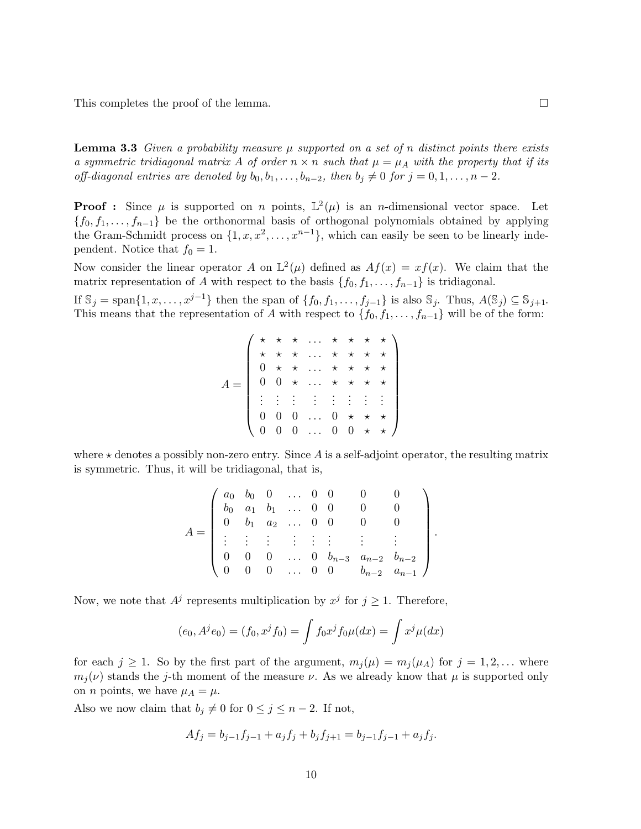This completes the proof of the lemma.

**Lemma 3.3** Given a probability measure  $\mu$  supported on a set of n distinct points there exists a symmetric tridiagonal matrix A of order  $n \times n$  such that  $\mu = \mu_A$  with the property that if its off-diagonal entries are denoted by  $b_0, b_1, \ldots, b_{n-2}$ , then  $b_j \neq 0$  for  $j = 0, 1, \ldots, n-2$ .

**Proof :** Since  $\mu$  is supported on n points,  $\mathbb{L}^2(\mu)$  is an n-dimensional vector space. Let  ${f_0, f_1, \ldots, f_{n-1}}$  be the orthonormal basis of orthogonal polynomials obtained by applying the Gram-Schmidt process on  $\{1, x, x^2, \ldots, x^{n-1}\}$ , which can easily be seen to be linearly independent. Notice that  $f_0 = 1$ .

Now consider the linear operator A on  $\mathbb{L}^2(\mu)$  defined as  $Af(x) = xf(x)$ . We claim that the matrix representation of A with respect to the basis  $\{f_0, f_1, \ldots, f_{n-1}\}\$ is tridiagonal.

If  $\mathbb{S}_j = \text{span}\{1, x, \ldots, x^{j-1}\}\$  then the span of  $\{f_0, f_1, \ldots, f_{j-1}\}\$ is also  $\mathbb{S}_j$ . Thus,  $A(\mathbb{S}_j) \subseteq \mathbb{S}_{j+1}$ . This means that the representation of A with respect to  $\{f_0, f_1, \ldots, f_{n-1}\}$  will be of the form:

$$
A = \left(\begin{array}{cccccc} \star & \star & \star & \ldots & \star & \star & \star & \star \\ \star & \star & \star & \ldots & \star & \star & \star & \star \\ 0 & \star & \star & \ldots & \star & \star & \star & \star \\ 0 & 0 & \star & \ldots & \star & \star & \star & \star \\ \vdots & \vdots & \vdots & \vdots & \vdots & \vdots & \vdots & \vdots \\ 0 & 0 & 0 & \ldots & 0 & \star & \star & \star \\ 0 & 0 & 0 & \ldots & 0 & 0 & \star & \star \end{array}\right)
$$

where  $\star$  denotes a possibly non-zero entry. Since A is a self-adjoint operator, the resulting matrix is symmetric. Thus, it will be tridiagonal, that is,

$$
A = \begin{pmatrix} a_0 & b_0 & 0 & \dots & 0 & 0 & 0 & 0 \\ b_0 & a_1 & b_1 & \dots & 0 & 0 & 0 & 0 \\ 0 & b_1 & a_2 & \dots & 0 & 0 & 0 & 0 \\ \vdots & \vdots & \vdots & \vdots & \vdots & \vdots & \vdots & \vdots & \vdots \\ 0 & 0 & 0 & \dots & 0 & b_{n-3} & a_{n-2} & b_{n-2} \\ 0 & 0 & 0 & \dots & 0 & 0 & b_{n-2} & a_{n-1} \end{pmatrix}.
$$

Now, we note that  $A^j$  represents multiplication by  $x^j$  for  $j \ge 1$ . Therefore,

$$
(e_0, A^j e_0) = (f_0, x^j f_0) = \int f_0 x^j f_0 \mu(dx) = \int x^j \mu(dx)
$$

for each  $j \geq 1$ . So by the first part of the argument,  $m_i(\mu) = m_i(\mu_A)$  for  $j = 1, 2, \ldots$  where  $m_i(\nu)$  stands the j-th moment of the measure  $\nu$ . As we already know that  $\mu$  is supported only on *n* points, we have  $\mu_A = \mu$ .

Also we now claim that  $b_j \neq 0$  for  $0 \leq j \leq n-2$ . If not,

$$
Af_j = b_{j-1}f_{j-1} + a_jf_j + b_jf_{j+1} = b_{j-1}f_{j-1} + a_jf_j.
$$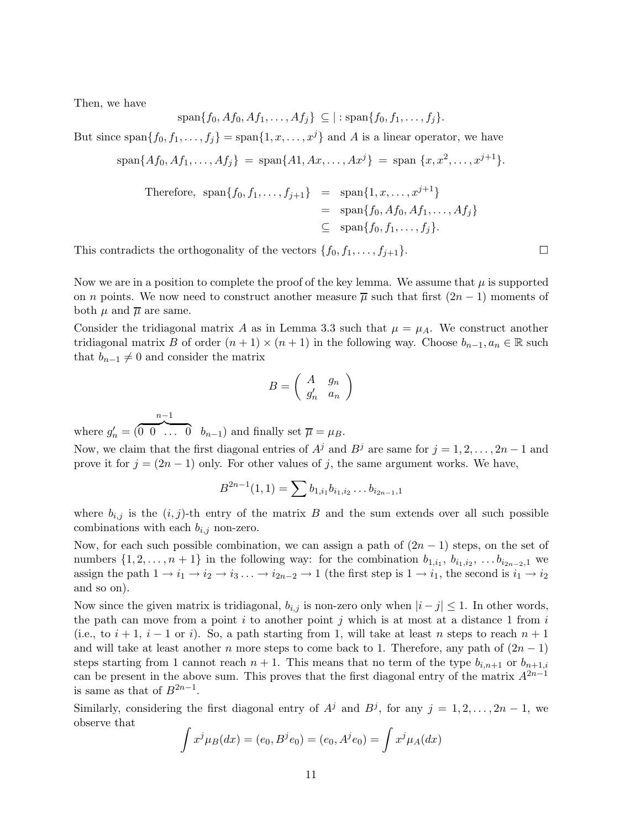Then, we have

$$
\mathrm{span}\{f_0, Af_0, Af_1, \ldots, Af_j\} \subseteq |\text{: span}\{f_0, f_1, \ldots, f_j\}.
$$

But since span $\{f_0, f_1, \ldots, f_j\} = \text{span}\{1, x, \ldots, x^j\}$  and A is a linear operator, we have

$$
\text{span}\{Af_0, Af_1, \dots, Af_j\} = \text{span}\{A1, Ax, \dots, Ax^j\} = \text{span}\{x, x^2, \dots, x^{j+1}\}.
$$
\n
$$
\text{Therefore, } \text{span}\{f_0, f_1, \dots, f_{j+1}\} = \text{span}\{1, x, \dots, x^{j+1}\}
$$
\n
$$
= \text{span}\{f_0, Af_0, Af_1, \dots, Af_j\}
$$
\n
$$
\subseteq \text{span}\{f_0, f_1, \dots, f_j\}.
$$

This contradicts the orthogonality of the vectors  $\{f_0, f_1, \ldots, f_{i+1}\}.$ 

Now we are in a position to complete the proof of the key lemma. We assume that  $\mu$  is supported on *n* points. We now need to construct another measure  $\overline{\mu}$  such that first  $(2n - 1)$  moments of both  $\mu$  and  $\overline{\mu}$  are same.

Consider the tridiagonal matrix A as in Lemma 3.3 such that  $\mu = \mu_A$ . We construct another tridiagonal matrix B of order  $(n + 1) \times (n + 1)$  in the following way. Choose  $b_{n-1}, a_n \in \mathbb{R}$  such that  $b_{n-1} \neq 0$  and consider the matrix

$$
B = \left(\begin{array}{cc} A & g_n \\ g'_n & a_n \end{array}\right)
$$

where  $g'_n = ($  $n-1$  $\overline{0 \ 0 \ \ldots \ 0} \quad b_{n-1}$  and finally set  $\overline{\mu} = \mu_B$ .

Now, we claim that the first diagonal entries of  $A^j$  and  $B^j$  are same for  $j = 1, 2, \ldots, 2n - 1$  and prove it for  $j = (2n - 1)$  only. For other values of j, the same argument works. We have,

$$
B^{2n-1}(1,1)=\sum b_{1,i_1}b_{i_1,i_2}\ldots b_{i_{2n-1},1}
$$

where  $b_{i,j}$  is the  $(i, j)$ -th entry of the matrix B and the sum extends over all such possible combinations with each  $b_{i,j}$  non-zero.

Now, for each such possible combination, we can assign a path of  $(2n - 1)$  steps, on the set of numbers  $\{1, 2, \ldots, n+1\}$  in the following way: for the combination  $b_{1,i_1}, b_{i_1,i_2}, \ldots, b_{i_{2n-2},1}$  we assign the path  $1 \to i_1 \to i_2 \to i_3 \ldots \to i_{2n-2} \to 1$  (the first step is  $1 \to i_1$ , the second is  $i_1 \to i_2$ ) and so on).

Now since the given matrix is tridiagonal,  $b_{i,j}$  is non-zero only when  $|i-j| \leq 1$ . In other words, the path can move from a point i to another point j which is at most at a distance 1 from i (i.e., to  $i + 1$ ,  $i - 1$  or i). So, a path starting from 1, will take at least n steps to reach  $n + 1$ and will take at least another n more steps to come back to 1. Therefore, any path of  $(2n-1)$ steps starting from 1 cannot reach  $n + 1$ . This means that no term of the type  $b_{i,n+1}$  or  $b_{n+1,i}$ can be present in the above sum. This proves that the first diagonal entry of the matrix  $A^{2n-1}$ is same as that of  $B^{2n-1}$ .

Similarly, considering the first diagonal entry of  $A^j$  and  $B^j$ , for any  $j = 1, 2, ..., 2n - 1$ , we observe that

$$
\int x^j \mu_B(dx) = (e_0, B^j e_0) = (e_0, A^j e_0) = \int x^j \mu_A(dx)
$$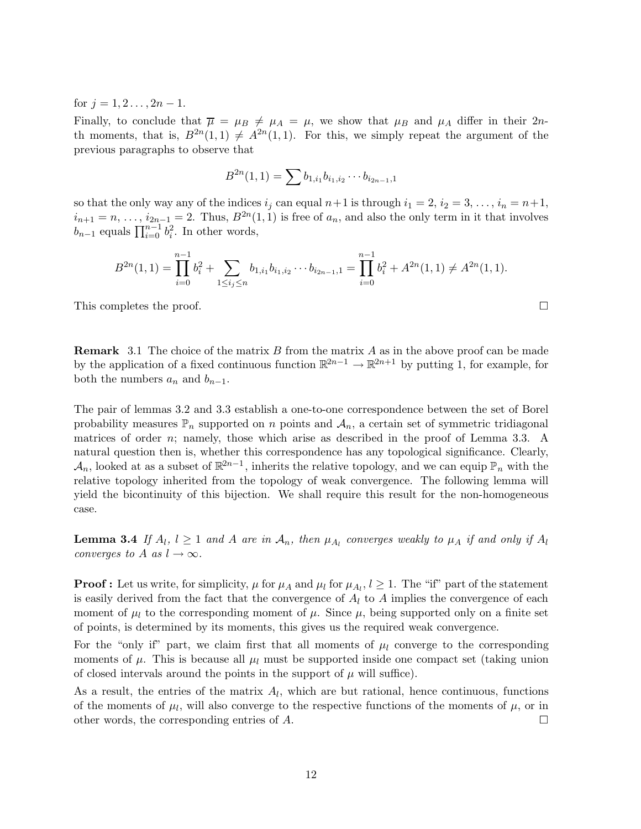for  $j = 1, 2, \ldots, 2n - 1$ .

Finally, to conclude that  $\overline{\mu} = \mu_B \neq \mu_A = \mu$ , we show that  $\mu_B$  and  $\mu_A$  differ in their 2nth moments, that is,  $B^{2n}(1,1) \neq A^{2n}(1,1)$ . For this, we simply repeat the argument of the previous paragraphs to observe that

$$
B^{2n}(1,1) = \sum b_{1,i_1} b_{i_1,i_2} \cdots b_{i_{2n-1},1}
$$

so that the only way any of the indices  $i_j$  can equal  $n+1$  is through  $i_1 = 2$ ,  $i_2 = 3, \ldots, i_n = n+1$ ,  $i_{n+1} = n, \ldots, i_{2n-1} = 2$ . Thus,  $B^{2n}(1,1)$  is free of  $a_n$ , and also the only term in it that involves  $b_{n-1}$  equals  $\prod_{i=0}^{n-1} b_i^2$ . In other words,

$$
B^{2n}(1,1) = \prod_{i=0}^{n-1} b_i^2 + \sum_{1 \le i_j \le n} b_{1,i_1} b_{i_1,i_2} \cdots b_{i_{2n-1},1} = \prod_{i=0}^{n-1} b_i^2 + A^{2n}(1,1) \ne A^{2n}(1,1).
$$

This completes the proof.

**Remark** 3.1 The choice of the matrix  $B$  from the matrix  $A$  as in the above proof can be made by the application of a fixed continuous function  $\mathbb{R}^{2n-1} \to \mathbb{R}^{2n+1}$  by putting 1, for example, for both the numbers  $a_n$  and  $b_{n-1}$ .

The pair of lemmas 3.2 and 3.3 establish a one-to-one correspondence between the set of Borel probability measures  $\mathbb{P}_n$  supported on n points and  $\mathcal{A}_n$ , a certain set of symmetric tridiagonal matrices of order n; namely, those which arise as described in the proof of Lemma 3.3. A natural question then is, whether this correspondence has any topological significance. Clearly,  $\mathcal{A}_n$ , looked at as a subset of  $\mathbb{R}^{2n-1}$ , inherits the relative topology, and we can equip  $\mathbb{P}_n$  with the relative topology inherited from the topology of weak convergence. The following lemma will yield the bicontinuity of this bijection. We shall require this result for the non-homogeneous case.

**Lemma 3.4** If  $A_l$ ,  $l \geq 1$  and A are in  $A_n$ , then  $\mu_{A_l}$  converges weakly to  $\mu_A$  if and only if  $A_l$ converges to A as  $l \to \infty$ .

**Proof :** Let us write, for simplicity,  $\mu$  for  $\mu_A$  and  $\mu_l$  for  $\mu_{A_l}$ ,  $l \geq 1$ . The "if" part of the statement is easily derived from the fact that the convergence of  $A_l$  to  $A$  implies the convergence of each moment of  $\mu_l$  to the corresponding moment of  $\mu$ . Since  $\mu$ , being supported only on a finite set of points, is determined by its moments, this gives us the required weak convergence.

For the "only if" part, we claim first that all moments of  $\mu_l$  converge to the corresponding moments of  $\mu$ . This is because all  $\mu_l$  must be supported inside one compact set (taking union of closed intervals around the points in the support of  $\mu$  will suffice).

As a result, the entries of the matrix  $A_l$ , which are but rational, hence continuous, functions of the moments of  $\mu_l$ , will also converge to the respective functions of the moments of  $\mu$ , or in other words, the corresponding entries of  $A$ .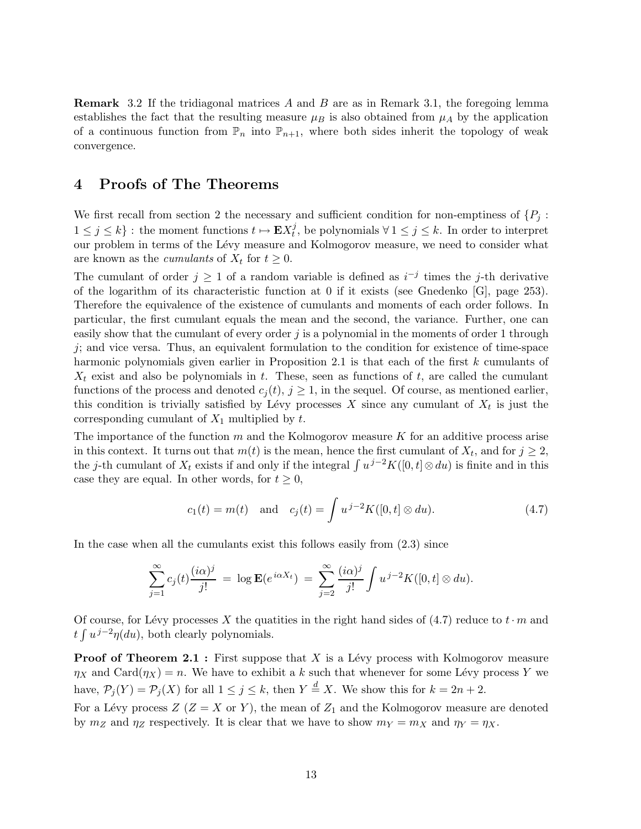Remark 3.2 If the tridiagonal matrices A and B are as in Remark 3.1, the foregoing lemma establishes the fact that the resulting measure  $\mu_B$  is also obtained from  $\mu_A$  by the application of a continuous function from  $\mathbb{P}_n$  into  $\mathbb{P}_{n+1}$ , where both sides inherit the topology of weak convergence.

# 4 Proofs of The Theorems

We first recall from section 2 the necessary and sufficient condition for non-emptiness of  $\{P_i:$  $1 \leq j \leq k$  : the moment functions  $t \mapsto \mathbf{E} X_t^j$  $t_i^j$ , be polynomials  $\forall 1 \leq j \leq k$ . In order to interpret our problem in terms of the L´evy measure and Kolmogorov measure, we need to consider what are known as the *cumulants* of  $X_t$  for  $t \geq 0$ .

The cumulant of order  $j \geq 1$  of a random variable is defined as  $i^{-j}$  times the j-th derivative of the logarithm of its characteristic function at 0 if it exists (see Gnedenko [G], page 253). Therefore the equivalence of the existence of cumulants and moments of each order follows. In particular, the first cumulant equals the mean and the second, the variance. Further, one can easily show that the cumulant of every order  $j$  is a polynomial in the moments of order 1 through  $j$ ; and vice versa. Thus, an equivalent formulation to the condition for existence of time-space harmonic polynomials given earlier in Proposition 2.1 is that each of the first k cumulants of  $X_t$  exist and also be polynomials in t. These, seen as functions of t, are called the cumulant functions of the process and denoted  $c_j(t)$ ,  $j \geq 1$ , in the sequel. Of course, as mentioned earlier, this condition is trivially satisfied by Lévy processes X since any cumulant of  $X_t$  is just the corresponding cumulant of  $X_1$  multiplied by  $t$ .

The importance of the function  $m$  and the Kolmogorov measure  $K$  for an additive process arise in this context. It turns out that  $m(t)$  is the mean, hence the first cumulant of  $X_t$ , and for  $j \geq 2$ , the j-th cumulant of  $X_t$  exists if and only if the integral  $\int u^{j-2}K([0, t] \otimes du)$  is finite and in this case they are equal. In other words, for  $t \geq 0$ ,

$$
c_1(t) = m(t)
$$
 and  $c_j(t) = \int u^{j-2} K([0, t] \otimes du)$ . (4.7)

In the case when all the cumulants exist this follows easily from (2.3) since

$$
\sum_{j=1}^{\infty} c_j(t) \frac{(i\alpha)^j}{j!} = \log \mathbf{E}(e^{i\alpha X_t}) = \sum_{j=2}^{\infty} \frac{(i\alpha)^j}{j!} \int u^{j-2}K([0,t] \otimes du).
$$

Of course, for Lévy processes X the quatities in the right hand sides of (4.7) reduce to  $t \cdot m$  and  $\int u^{j-2}\eta(du)$ , both clearly polynomials.

**Proof of Theorem 2.1 :** First suppose that X is a Lévy process with Kolmogorov measure  $\eta_X$  and Card $(\eta_X) = n$ . We have to exhibit a k such that whenever for some Lévy process Y we have,  $\mathcal{P}_j(Y) = \mathcal{P}_j(X)$  for all  $1 \leq j \leq k$ , then  $Y \stackrel{d}{=} X$ . We show this for  $k = 2n + 2$ . For a Lévy process  $Z$  ( $Z = X$  or Y), the mean of  $Z_1$  and the Kolmogorov measure are denoted by  $m_Z$  and  $\eta_Z$  respectively. It is clear that we have to show  $m_Y = m_X$  and  $\eta_Y = \eta_X$ .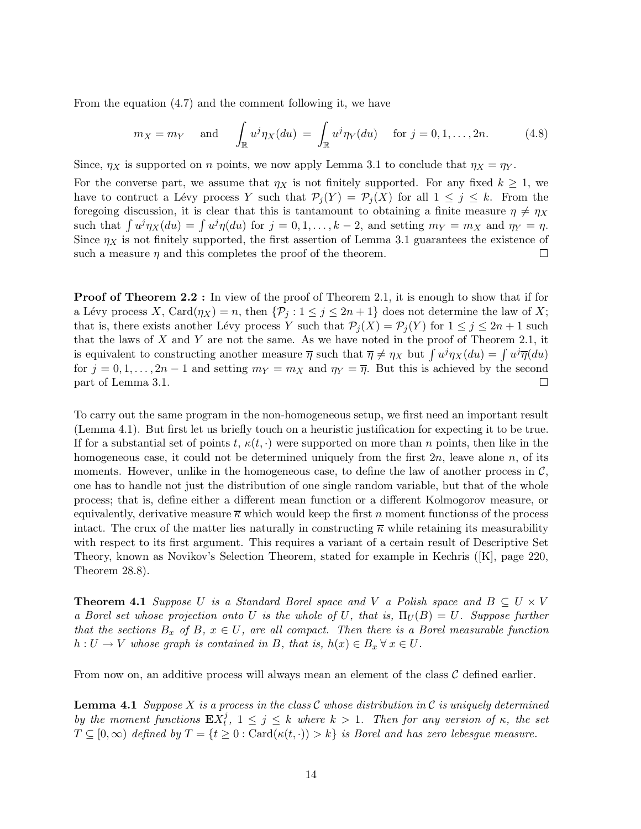From the equation (4.7) and the comment following it, we have

$$
m_X = m_Y
$$
 and  $\int_{\mathbb{R}} u^j \eta_X(du) = \int_{\mathbb{R}} u^j \eta_Y(du)$  for  $j = 0, 1, ..., 2n$ . (4.8)

Since,  $\eta_X$  is supported on n points, we now apply Lemma 3.1 to conclude that  $\eta_X = \eta_Y$ .

For the converse part, we assume that  $\eta_X$  is not finitely supported. For any fixed  $k \geq 1$ , we have to contruct a Lévy process Y such that  $\mathcal{P}_j(Y) = \mathcal{P}_j(X)$  for all  $1 \leq j \leq k$ . From the foregoing discussion, it is clear that this is tantamount to obtaining a finite measure  $\eta \neq \eta_X$ such that  $\int u^j \eta_X(du) = \int u^j \eta(du)$  for  $j = 0, 1, \ldots, k - 2$ , and setting  $m_Y = m_X$  and  $\eta_Y = \eta$ . Since  $\eta_X$  is not finitely supported, the first assertion of Lemma 3.1 guarantees the existence of such a measure  $\eta$  and this completes the proof of the theorem.

**Proof of Theorem 2.2 :** In view of the proof of Theorem 2.1, it is enough to show that if for a Lévy process X, Card $(\eta_X) = n$ , then  $\{\mathcal{P}_j : 1 \leq j \leq 2n+1\}$  does not determine the law of X; that is, there exists another Lévy process Y such that  $\mathcal{P}_j(X) = \mathcal{P}_j(Y)$  for  $1 \leq j \leq 2n + 1$  such that the laws of  $X$  and  $Y$  are not the same. As we have noted in the proof of Theorem 2.1, it is equivalent to constructing another measure  $\overline{\eta}$  such that  $\overline{\eta} \neq \eta_X$  but  $\int u^j \eta_X(du) = \int u^j \overline{\eta}(du)$ for  $j = 0, 1, ..., 2n - 1$  and setting  $m_Y = m_X$  and  $\eta_Y = \overline{\eta}$ . But this is achieved by the second part of Lemma 3.1. part of Lemma 3.1.

To carry out the same program in the non-homogeneous setup, we first need an important result (Lemma 4.1). But first let us briefly touch on a heuristic justification for expecting it to be true. If for a substantial set of points t,  $\kappa(t, \cdot)$  were supported on more than n points, then like in the homogeneous case, it could not be determined uniquely from the first  $2n$ , leave alone n, of its moments. However, unlike in the homogeneous case, to define the law of another process in  $\mathcal{C}$ , one has to handle not just the distribution of one single random variable, but that of the whole process; that is, define either a different mean function or a different Kolmogorov measure, or equivalently, derivative measure  $\overline{\kappa}$  which would keep the first n moment functionss of the process intact. The crux of the matter lies naturally in constructing  $\overline{\kappa}$  while retaining its measurability with respect to its first argument. This requires a variant of a certain result of Descriptive Set Theory, known as Novikov's Selection Theorem, stated for example in Kechris ([K], page 220, Theorem 28.8).

**Theorem 4.1** Suppose U is a Standard Borel space and V a Polish space and  $B \subseteq U \times V$ a Borel set whose projection onto U is the whole of U, that is,  $\Pi_U(B) = U$ . Suppose further that the sections  $B_x$  of B,  $x \in U$ , are all compact. Then there is a Borel measurable function  $h: U \to V$  whose graph is contained in B, that is,  $h(x) \in B_x \forall x \in U$ .

From now on, an additive process will always mean an element of the class  $\mathcal C$  defined earlier.

**Lemma 4.1** Suppose X is a process in the class C whose distribution in C is uniquely determined by the moment functions  $\mathbf{E} X_t^j$  $t_i^j$ ,  $1 \leq j \leq k$  where  $k > 1$ . Then for any version of  $\kappa$ , the set  $T \subseteq [0,\infty)$  defined by  $T = \{t \geq 0 : \text{Card}(\kappa(t,\cdot)) > k\}$  is Borel and has zero lebesgue measure.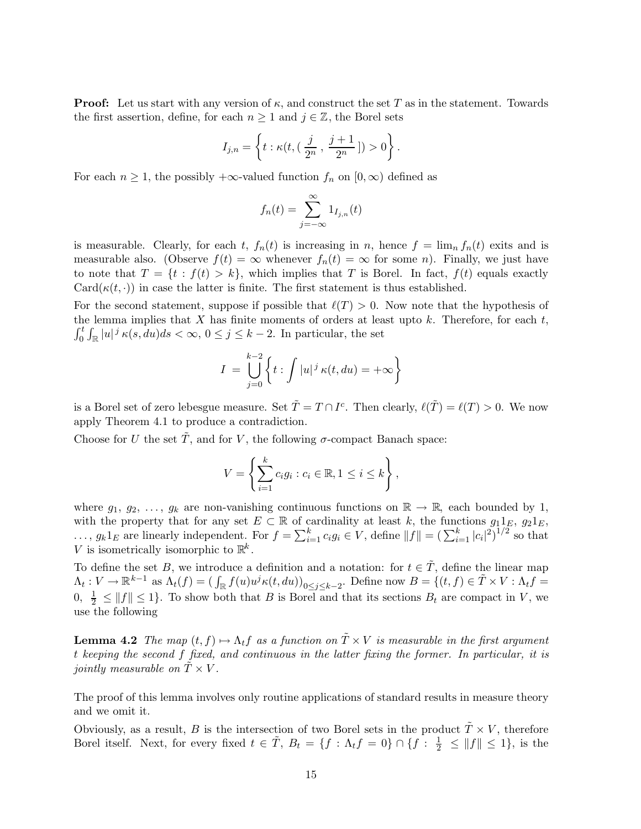**Proof:** Let us start with any version of  $\kappa$ , and construct the set T as in the statement. Towards the first assertion, define, for each  $n \geq 1$  and  $j \in \mathbb{Z}$ , the Borel sets

$$
I_{j,n} = \left\{ t : \kappa(t, (\frac{j}{2^n}, \frac{j+1}{2^n}]) > 0 \right\}.
$$

For each  $n \geq 1$ , the possibly  $+\infty$ -valued function  $f_n$  on  $[0,\infty)$  defined as

$$
f_n(t) = \sum_{j=-\infty}^{\infty} 1_{I_{j,n}}(t)
$$

is measurable. Clearly, for each t,  $f_n(t)$  is increasing in n, hence  $f = \lim_n f_n(t)$  exits and is measurable also. (Observe  $f(t) = \infty$  whenever  $f_n(t) = \infty$  for some n). Finally, we just have to note that  $T = \{t : f(t) > k\}$ , which implies that T is Borel. In fact,  $f(t)$  equals exactly Card( $\kappa(t, \cdot)$ ) in case the latter is finite. The first statement is thus established.

For the second statement, suppose if possible that  $\ell(T) > 0$ . Now note that the hypothesis of the lemma implies that X has finite moments of orders at least upto  $k$ . Therefore, for each  $t$ ,  $\int_0^t \int_{\mathbb{R}} |u|^j \kappa(s, du) ds < \infty, 0 \le j \le k - 2$ . In particular, the set

$$
I = \bigcup_{j=0}^{k-2} \left\{ t : \int |u|^j \kappa(t, du) = +\infty \right\}
$$

is a Borel set of zero lebesgue measure. Set  $\tilde{T} = T \cap I^c$ . Then clearly,  $\ell(\tilde{T}) = \ell(T) > 0$ . We now apply Theorem 4.1 to produce a contradiction.

Choose for U the set T, and for V, the following  $\sigma$ -compact Banach space:

$$
V = \left\{ \sum_{i=1}^{k} c_i g_i : c_i \in \mathbb{R}, 1 \leq i \leq k \right\},\
$$

where  $g_1, g_2, \ldots, g_k$  are non-vanishing continuous functions on  $\mathbb{R} \to \mathbb{R}$ , each bounded by 1, with the property that for any set  $E \subset \mathbb{R}$  of cardinality at least k, the functions  $g_1 1_E$ ,  $g_2 1_E$ ,  $\ldots, g_k 1_E$  are linearly independent. For  $f = \sum_{i=1}^k c_i g_i \in V$ , define  $||f|| = \left(\sum_{i=1}^k |c_i|^2\right)^{1/2}$  so that V is isometrically isomorphic to  $\mathbb{R}^k$ .

To define the set B, we introduce a definition and a notation: for  $t \in \tilde{T}$ , define the linear map  $\Lambda_t: V \to \mathbb{R}^{k-1}$  as  $\Lambda_t(f) = (\int_{\mathbb{R}} f(u)u^j \kappa(t, du))_{0 \le j \le k-2}$ . Define now  $B = \{(t, f) \in \tilde{T} \times V : \Lambda_t f =$  $0, \frac{1}{2} \leq ||f|| \leq 1$ . To show both that B is Borel and that its sections  $B_t$  are compact in V, we use the following

**Lemma 4.2** The map  $(t, f) \mapsto \Lambda_t f$  as a function on  $\tilde{T} \times V$  is measurable in the first argument t keeping the second f fixed, and continuous in the latter fixing the former. In particular, it is jointly measurable on  $\tilde{T} \times V$ .

The proof of this lemma involves only routine applications of standard results in measure theory and we omit it.

Obviously, as a result, B is the intersection of two Borel sets in the product  $\tilde{T} \times V$ , therefore Borel itself. Next, for every fixed  $t \in \tilde{T}$ ,  $B_t = \{f : \Lambda_t f = 0\} \cap \{f : \frac{1}{2} \leq ||f|| \leq 1\}$ , is the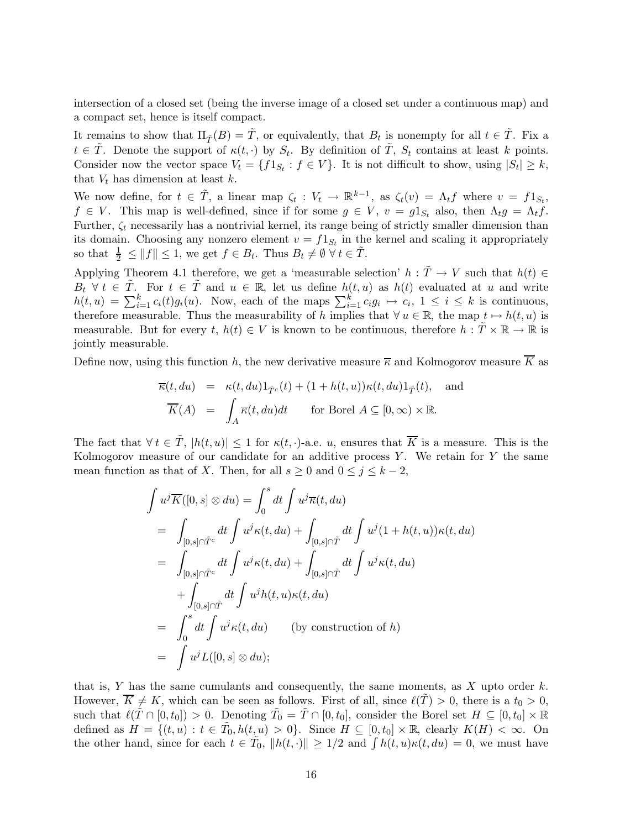intersection of a closed set (being the inverse image of a closed set under a continuous map) and a compact set, hence is itself compact.

It remains to show that  $\Pi_{\tilde{T}}(B) = \tilde{T}$ , or equivalently, that  $B_t$  is nonempty for all  $t \in \tilde{T}$ . Fix a  $t \in \tilde{T}$ . Denote the support of  $\kappa(t, \cdot)$  by  $S_t$ . By definition of  $\tilde{T}$ ,  $S_t$  contains at least k points. Consider now the vector space  $V_t = \{f1_{S_t} : f \in V\}$ . It is not difficult to show, using  $|S_t| \geq k$ , that  $V_t$  has dimension at least k.

We now define, for  $t \in \tilde{T}$ , a linear map  $\zeta_t : V_t \to \mathbb{R}^{k-1}$ , as  $\zeta_t(v) = \Lambda_t f$  where  $v = f1_{S_t}$ ,  $f \in V$ . This map is well-defined, since if for some  $g \in V$ ,  $v = g1_{S_t}$  also, then  $\Lambda_t g = \Lambda_t f$ . Further,  $\zeta_t$  necessarily has a nontrivial kernel, its range being of strictly smaller dimension than its domain. Choosing any nonzero element  $v = f 1_{S_t}$  in the kernel and scaling it appropriately so that  $\frac{1}{2} \leq ||f|| \leq 1$ , we get  $f \in B_t$ . Thus  $B_t \neq \emptyset \ \forall \ t \in \tilde{T}$ .

Applying Theorem 4.1 therefore, we get a 'measurable selection'  $h : \tilde{T} \to V$  such that  $h(t) \in$  $B_t \ \forall \ t \in \tilde{T}$ . For  $t \in \tilde{T}$  and  $u \in \mathbb{R}$ , let us define  $h(t, u)$  as  $h(t)$  evaluated at u and write  $h(t, u) = \sum_{i=1}^{k} c_i(t)g_i(u)$ . Now, each of the maps  $\sum_{i=1}^{k} c_i g_i \mapsto c_i$ ,  $1 \leq i \leq k$  is continuous, therefore measurable. Thus the measurability of h implies that  $\forall u \in \mathbb{R}$ , the map  $t \mapsto h(t, u)$  is measurable. But for every t,  $h(t) \in V$  is known to be continuous, therefore  $h : \tilde{T} \times \mathbb{R} \to \mathbb{R}$  is jointly measurable.

Define now, using this function h, the new derivative measure  $\overline{\kappa}$  and Kolmogorov measure  $\overline{K}$  as

$$
\overline{\kappa}(t, du) = \kappa(t, du) 1_{\tilde{T}^c}(t) + (1 + h(t, u)) \kappa(t, du) 1_{\tilde{T}}(t), \text{ and}
$$

$$
\overline{K}(A) = \int_A \overline{\kappa}(t, du) dt \quad \text{for Borel } A \subseteq [0, \infty) \times \mathbb{R}.
$$

The fact that  $\forall t \in \tilde{T}$ ,  $|h(t, u)| \leq 1$  for  $\kappa(t, \cdot)$ -a.e. u, ensures that  $\overline{K}$  is a measure. This is the Kolmogorov measure of our candidate for an additive process  $Y$ . We retain for  $Y$  the same mean function as that of X. Then, for all  $s \geq 0$  and  $0 \leq j \leq k-2$ ,

$$
\int u^j \overline{K}([0, s] \otimes du) = \int_0^s dt \int u^j \overline{\kappa}(t, du)
$$
  
\n
$$
= \int_{[0, s] \cap \tilde{T}^c} dt \int u^j \kappa(t, du) + \int_{[0, s] \cap \tilde{T}} dt \int u^j (1 + h(t, u)) \kappa(t, du)
$$
  
\n
$$
= \int_{[0, s] \cap \tilde{T}^c} dt \int u^j \kappa(t, du) + \int_{[0, s] \cap \tilde{T}} dt \int u^j \kappa(t, du)
$$
  
\n
$$
+ \int_{[0, s] \cap \tilde{T}} dt \int u^j h(t, u) \kappa(t, du)
$$
  
\n
$$
= \int_0^s dt \int u^j \kappa(t, du) \qquad \text{(by construction of } h)
$$
  
\n
$$
= \int u^j L([0, s] \otimes du);
$$

that is, Y has the same cumulants and consequently, the same moments, as X upto order  $k$ . However,  $\overline{K} \neq K$ , which can be seen as follows. First of all, since  $\ell(T) > 0$ , there is a  $t_0 > 0$ , such that  $\ell(\tilde{T} \cap [0, t_0]) > 0$ . Denoting  $\tilde{T}_0 = \tilde{T} \cap [0, t_0]$ , consider the Borel set  $H \subseteq [0, t_0] \times \mathbb{R}$ defined as  $H = \{(t, u) : t \in \tilde{T}_0, h(t, u) > 0\}$ . Since  $H \subseteq [0, t_0] \times \mathbb{R}$ , clearly  $K(H) < \infty$ . On the other hand, since for each  $t \in \tilde{T}_0$ ,  $||h(t, \cdot)|| \geq 1/2$  and  $\int h(t, u)\kappa(t, du) = 0$ , we must have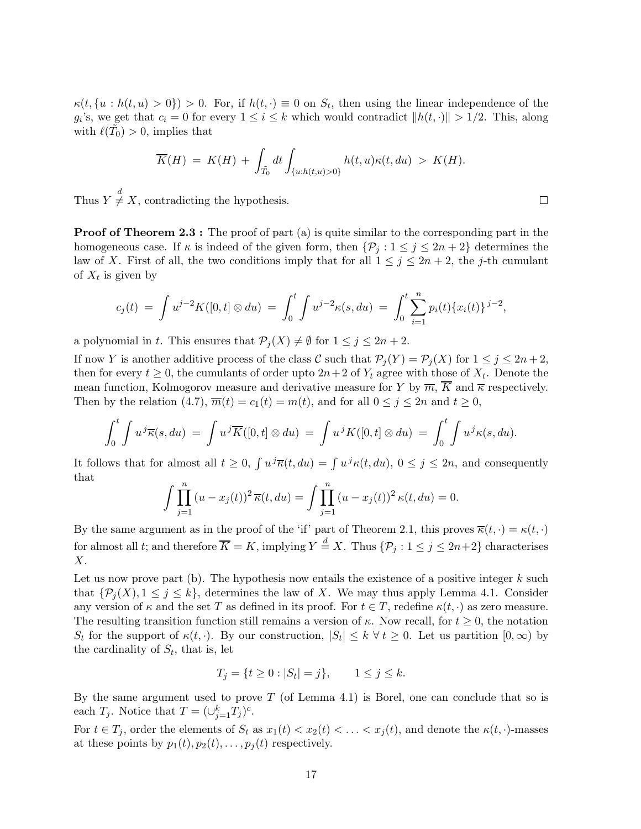$\kappa(t, \{u : h(t, u) > 0\}) > 0$ . For, if  $h(t, \cdot) \equiv 0$  on  $S_t$ , then using the linear independence of the  $g_i$ 's, we get that  $c_i = 0$  for every  $1 \leq i \leq k$  which would contradict  $||h(t, \cdot)|| > 1/2$ . This, along with  $\ell(\tilde{T}_0) > 0$ , implies that

$$
\overline{K}(H) = K(H) + \int_{\tilde{T}_0} dt \int_{\{u:h(t,u)>0\}} h(t,u)\kappa(t,du) > K(H).
$$

Thus  $Y \neq X$ , contradicting the hypothesis.

**Proof of Theorem 2.3 :** The proof of part (a) is quite similar to the corresponding part in the homogeneous case. If  $\kappa$  is indeed of the given form, then  $\{\mathcal{P}_j : 1 \le j \le 2n + 2\}$  determines the law of X. First of all, the two conditions imply that for all  $1 \leq j \leq 2n + 2$ , the j-th cumulant of  $X_t$  is given by

$$
c_j(t) = \int u^{j-2} K([0,t] \otimes du) = \int_0^t \int u^{j-2} \kappa(s, du) = \int_0^t \sum_{i=1}^n p_i(t) \{x_i(t)\}^{j-2},
$$

a polynomial in t. This ensures that  $\mathcal{P}_j(X) \neq \emptyset$  for  $1 \leq j \leq 2n + 2$ .

If now Y is another additive process of the class C such that  $\mathcal{P}_j(Y) = \mathcal{P}_j(X)$  for  $1 \leq j \leq 2n + 2$ , then for every  $t \geq 0$ , the cumulants of order upto  $2n+2$  of  $Y_t$  agree with those of  $X_t$ . Denote the mean function, Kolmogorov measure and derivative measure for Y by  $\overline{m}$ ,  $\overline{K}$  and  $\overline{\kappa}$  respectively. Then by the relation (4.7),  $\overline{m}(t) = c_1(t) = m(t)$ , and for all  $0 \le j \le 2n$  and  $t \ge 0$ ,

$$
\int_0^t \int u^j \overline{\kappa}(s, du) = \int u^j \overline{K}([0, t] \otimes du) = \int u^j K([0, t] \otimes du) = \int_0^t \int u^j \kappa(s, du).
$$

It follows that for almost all  $t \geq 0$ ,  $\int u^j \overline{\kappa}(t, du) = \int u^j \kappa(t, du)$ ,  $0 \leq j \leq 2n$ , and consequently that

$$
\int \prod_{j=1}^{n} (u - x_j(t))^2 \, \overline{\kappa}(t, du) = \int \prod_{j=1}^{n} (u - x_j(t))^2 \, \kappa(t, du) = 0.
$$

By the same argument as in the proof of the 'if' part of Theorem 2.1, this proves  $\overline{\kappa}(t, \cdot) = \kappa(t, \cdot)$ for almost all t; and therefore  $\overline{K} = K$ , implying  $Y \stackrel{d}{=} X$ . Thus  $\{\mathcal{P}_j : 1 \le j \le 2n+2\}$  characterises X.

Let us now prove part (b). The hypothesis now entails the existence of a positive integer  $k$  such that  $\{\mathcal{P}_i(X), 1 \leq j \leq k\}$ , determines the law of X. We may thus apply Lemma 4.1. Consider any version of  $\kappa$  and the set T as defined in its proof. For  $t \in T$ , redefine  $\kappa(t, \cdot)$  as zero measure. The resulting transition function still remains a version of  $\kappa$ . Now recall, for  $t \geq 0$ , the notation S<sub>t</sub> for the support of  $\kappa(t, \cdot)$ . By our construction,  $|S_t| \leq k \forall t \geq 0$ . Let us partition  $[0, \infty)$  by the cardinality of  $S_t$ , that is, let

$$
T_j = \{ t \ge 0 : |S_t| = j \}, \qquad 1 \le j \le k.
$$

By the same argument used to prove  $T$  (of Lemma 4.1) is Borel, one can conclude that so is each  $T_j$ . Notice that  $T = (\cup_{j=1}^k T_j)^c$ .

For  $t \in T_j$ , order the elements of  $S_t$  as  $x_1(t) < x_2(t) < \ldots < x_j(t)$ , and denote the  $\kappa(t, \cdot)$ -masses at these points by  $p_1(t), p_2(t), \ldots, p_j(t)$  respectively.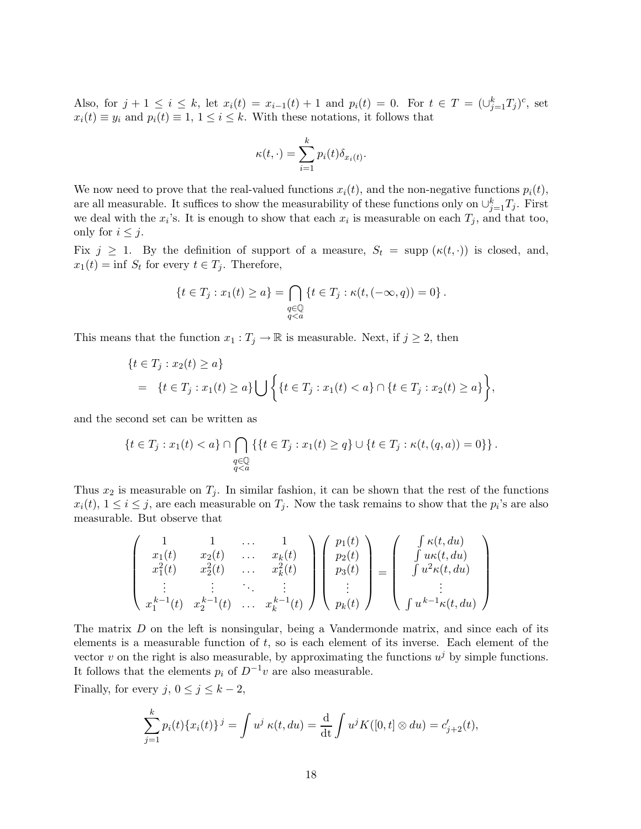Also, for  $j + 1 \le i \le k$ , let  $x_i(t) = x_{i-1}(t) + 1$  and  $p_i(t) = 0$ . For  $t \in T = (\bigcup_{j=1}^k T_j)^c$ , set  $x_i(t) \equiv y_i$  and  $p_i(t) \equiv 1, 1 \leq i \leq k$ . With these notations, it follows that

$$
\kappa(t,\cdot) = \sum_{i=1}^{k} p_i(t)\delta_{x_i(t)}.
$$

We now need to prove that the real-valued functions  $x_i(t)$ , and the non-negative functions  $p_i(t)$ , are all measurable. It suffices to show the measurability of these functions only on  $\cup_{j=1}^k T_j$ . First we deal with the  $x_i$ 's. It is enough to show that each  $x_i$  is measurable on each  $T_j$ , and that too, only for  $i \leq j$ .

Fix  $j \geq 1$ . By the definition of support of a measure,  $S_t = \text{supp} (\kappa(t, \cdot))$  is closed, and,  $x_1(t) = \inf S_t$  for every  $t \in T_j$ . Therefore,

$$
\{t \in T_j : x_1(t) \ge a\} = \bigcap_{\substack{q \in \mathbb{Q} \\ q < a}} \{t \in T_j : \kappa(t, (-\infty, q)) = 0\}.
$$

This means that the function  $x_1 : T_j \to \mathbb{R}$  is measurable. Next, if  $j \geq 2$ , then

$$
\{t \in T_j : x_2(t) \ge a\}
$$
  
=  $\{t \in T_j : x_1(t) \ge a\} \bigcup \{t \in T_j : x_1(t) < a\} \cap \{t \in T_j : x_2(t) \ge a\} \},$ 

and the second set can be written as

$$
\{t \in T_j : x_1(t) < a\} \cap \bigcap_{\substack{q \in \mathbb{Q} \\ q < a}} \{t \in T_j : x_1(t) \ge q\} \cup \{t \in T_j : \kappa(t, (q, a)) = 0\}\}.
$$

Thus  $x_2$  is measurable on  $T_j$ . In similar fashion, it can be shown that the rest of the functions  $x_i(t)$ ,  $1 \le i \le j$ , are each measurable on  $T_j$ . Now the task remains to show that the  $p_i$ 's are also measurable. But observe that

$$
\begin{pmatrix}\n1 & 1 & \dots & 1 \\
x_1(t) & x_2(t) & \dots & x_k(t) \\
x_1^2(t) & x_2^2(t) & \dots & x_k^2(t) \\
\vdots & \vdots & \ddots & \vdots \\
x_1^{k-1}(t) & x_2^{k-1}(t) & \dots & x_k^{k-1}(t)\n\end{pmatrix}\n\begin{pmatrix}\np_1(t) \\
p_2(t) \\
p_3(t) \\
\vdots \\
p_k(t)\n\end{pmatrix}\n=\n\begin{pmatrix}\n\int \kappa(t, du) \\
\int u\kappa(t, du) \\
\int u^2\kappa(t, du) \\
\vdots \\
\int u^{k-1}\kappa(t, du)\n\end{pmatrix}
$$

The matrix D on the left is nonsingular, being a Vandermonde matrix, and since each of its elements is a measurable function of t, so is each element of its inverse. Each element of the vector v on the right is also measurable, by approximating the functions  $u^j$  by simple functions. It follows that the elements  $p_i$  of  $D^{-1}v$  are also measurable.

Finally, for every  $j, 0 \le j \le k-2$ ,

$$
\sum_{j=1}^{k} p_i(t) \{x_i(t)\}^j = \int u^j \kappa(t, du) = \frac{d}{dt} \int u^j K([0, t] \otimes du) = c'_{j+2}(t),
$$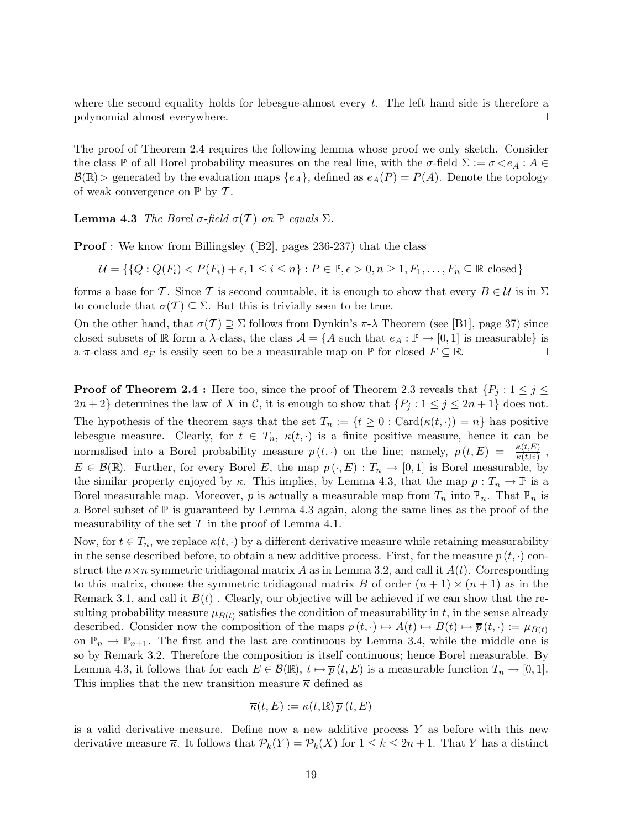where the second equality holds for lebesgue-almost every  $t$ . The left hand side is therefore a polynomial almost everywhere.

The proof of Theorem 2.4 requires the following lemma whose proof we only sketch. Consider the class P of all Borel probability measures on the real line, with the  $\sigma$ -field  $\Sigma := \sigma \langle e_A : A \in$  $\mathcal{B}(\mathbb{R})$  generated by the evaluation maps  $\{e_A\}$ , defined as  $e_A(P) = P(A)$ . Denote the topology of weak convergence on  $\mathbb{P}$  by  $\mathcal{T}$ .

**Lemma 4.3** The Borel  $\sigma$ -field  $\sigma(T)$  on  $\mathbb P$  equals  $\Sigma$ .

Proof : We know from Billingsley ([B2], pages 236-237) that the class

 $U = \{ \{Q : Q(F_i) < P(F_i) + \epsilon, 1 \leq i \leq n \} : P \in \mathbb{P}, \epsilon > 0, n \geq 1, F_1, \ldots, F_n \subseteq \mathbb{R} \text{ closed} \}$ 

forms a base for T. Since T is second countable, it is enough to show that every  $B \in \mathcal{U}$  is in  $\Sigma$ to conclude that  $\sigma(T) \subseteq \Sigma$ . But this is trivially seen to be true.

On the other hand, that  $\sigma(\mathcal{T}) \supseteq \Sigma$  follows from Dynkin's  $\pi-\lambda$  Theorem (see [B1], page 37) since closed subsets of R form a  $\lambda$ -class, the class  $\mathcal{A} = \{A \text{ such that } e_A : \mathbb{P} \to [0,1] \text{ is measurable} \}$  is a  $\pi$ -class and  $e_F$  is easily seen to be a measurable map on P for closed  $F \subset \mathbb{R}$ . a  $\pi$ -class and  $e_F$  is easily seen to be a measurable map on  $\mathbb P$  for closed  $F \subseteq \mathbb R$ .

**Proof of Theorem 2.4 :** Here too, since the proof of Theorem 2.3 reveals that  $\{P_j : 1 \leq j \leq j \leq n\}$  $2n+2$  determines the law of X in C, it is enough to show that  $\{P_i : 1 \leq j \leq 2n+1\}$  does not.

The hypothesis of the theorem says that the set  $T_n := \{t \geq 0 : \text{Card}(\kappa(t, \cdot)) = n\}$  has positive lebesgue measure. Clearly, for  $t \in T_n$ ,  $\kappa(t, \cdot)$  is a finite positive measure, hence it can be normalised into a Borel probability measure  $p(t, \cdot)$  on the line; namely,  $p(t, E) = \frac{\kappa(t, E)}{\kappa(t, \mathbb{R})}$ ,  $E \in \mathcal{B}(\mathbb{R})$ . Further, for every Borel E, the map  $p(\cdot, E) : T_n \to [0, 1]$  is Borel measurable, by the similar property enjoyed by  $\kappa$ . This implies, by Lemma 4.3, that the map  $p: T_n \to \mathbb{P}$  is a Borel measurable map. Moreover, p is actually a measurable map from  $T_n$  into  $\mathbb{P}_n$ . That  $\mathbb{P}_n$  is a Borel subset of  $\mathbb P$  is guaranteed by Lemma 4.3 again, along the same lines as the proof of the measurability of the set  $T$  in the proof of Lemma 4.1.

Now, for  $t \in T_n$ , we replace  $\kappa(t, \cdot)$  by a different derivative measure while retaining measurability in the sense described before, to obtain a new additive process. First, for the measure  $p(t, \cdot)$  construct the  $n \times n$  symmetric tridiagonal matrix A as in Lemma 3.2, and call it  $A(t)$ . Corresponding to this matrix, choose the symmetric tridiagonal matrix B of order  $(n + 1) \times (n + 1)$  as in the Remark 3.1, and call it  $B(t)$ . Clearly, our objective will be achieved if we can show that the resulting probability measure  $\mu_{B(t)}$  satisfies the condition of measurability in t, in the sense already described. Consider now the composition of the maps  $p(t, \cdot) \mapsto A(t) \mapsto B(t) \mapsto \overline{p}(t, \cdot) := \mu_{B(t)}$ on  $\mathbb{P}_n \to \mathbb{P}_{n+1}$ . The first and the last are continuous by Lemma 3.4, while the middle one is so by Remark 3.2. Therefore the composition is itself continuous; hence Borel measurable. By Lemma 4.3, it follows that for each  $E \in \mathcal{B}(\mathbb{R}), t \mapsto \overline{p}(t, E)$  is a measurable function  $T_n \to [0, 1].$ This implies that the new transition measure  $\overline{\kappa}$  defined as

$$
\overline{\kappa}(t,E) := \kappa(t,\mathbb{R}) \overline{p}(t,E)
$$

is a valid derivative measure. Define now a new additive process Y as before with this new derivative measure  $\overline{\kappa}$ . It follows that  $\mathcal{P}_k(Y) = \mathcal{P}_k(X)$  for  $1 \leq k \leq 2n+1$ . That Y has a distinct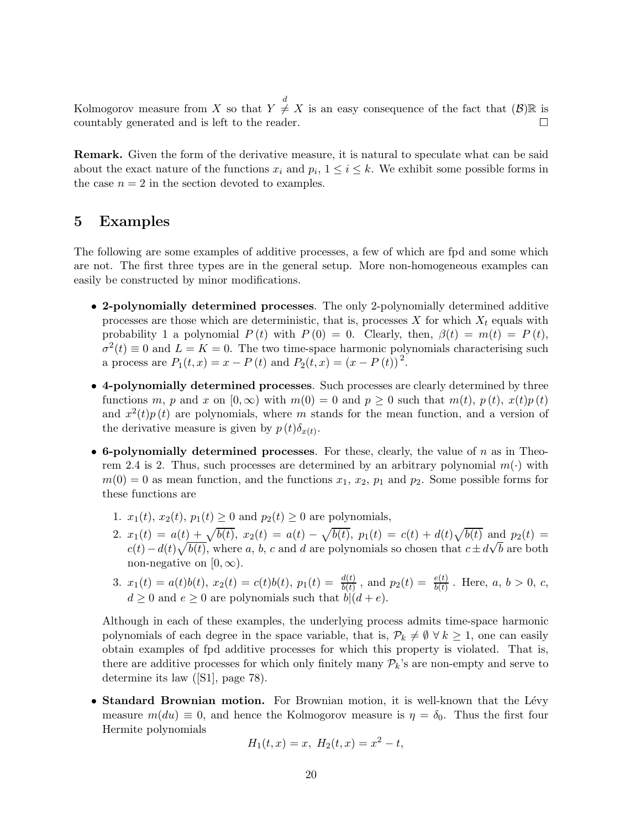Kolmogorov measure from X so that  $Y \neq X$  is an easy consequence of the fact that  $(\mathcal{B})\mathbb{R}$  is countably generated and is left to the reader.

Remark. Given the form of the derivative measure, it is natural to speculate what can be said about the exact nature of the functions  $x_i$  and  $p_i$ ,  $1 \le i \le k$ . We exhibit some possible forms in the case  $n = 2$  in the section devoted to examples.

#### 5 Examples

The following are some examples of additive processes, a few of which are fpd and some which are not. The first three types are in the general setup. More non-homogeneous examples can easily be constructed by minor modifications.

- 2-polynomially determined processes. The only 2-polynomially determined additive processes are those which are deterministic, that is, processes X for which  $X_t$  equals with probability 1 a polynomial  $P(t)$  with  $P(0) = 0$ . Clearly, then,  $\beta(t) = m(t) = P(t)$ ,  $\sigma^2(t) \equiv 0$  and  $L = K = 0$ . The two time-space harmonic polynomials characterising such a process are  $P_1(t, x) = x - P(t)$  and  $P_2(t, x) = (x - P(t))^2$ .
- 4-polynomially determined processes. Such processes are clearly determined by three functions m, p and x on  $[0,\infty)$  with  $m(0) = 0$  and  $p \ge 0$  such that  $m(t)$ ,  $p(t)$ ,  $x(t)p(t)$ and  $x^2(t)p(t)$  are polynomials, where m stands for the mean function, and a version of the derivative measure is given by  $p(t)\delta_{x(t)}$ .
- 6-polynomially determined processes. For these, clearly, the value of  $n$  as in Theorem 2.4 is 2. Thus, such processes are determined by an arbitrary polynomial  $m(\cdot)$  with  $m(0) = 0$  as mean function, and the functions  $x_1, x_2, p_1$  and  $p_2$ . Some possible forms for these functions are
	- 1.  $x_1(t)$ ,  $x_2(t)$ ,  $p_1(t) \ge 0$  and  $p_2(t) \ge 0$  are polynomials,
	- 2.  $x_1(t) = a(t) + \sqrt{b(t)}, x_2(t) = a(t) \sqrt{b(t)}, p_1(t) = c(t) + d(t)\sqrt{b(t)}$  and  $p_2(t) =$  $c(t) - d(t)\sqrt{b(t)}$ , where a, b, c and d are polynomials so chosen that  $c \pm d\sqrt{b}$  are both non-negative on  $[0, \infty)$ .
	- 3.  $x_1(t) = a(t)b(t), x_2(t) = c(t)b(t), p_1(t) = \frac{d(t)}{b(t)}$ , and  $p_2(t) = \frac{e(t)}{b(t)}$ . Here,  $a, b > 0, c$ ,  $d \geq 0$  and  $e \geq 0$  are polynomials such that  $b|(d+e)$ .

Although in each of these examples, the underlying process admits time-space harmonic polynomials of each degree in the space variable, that is,  $\mathcal{P}_k \neq \emptyset \ \forall \ k \geq 1$ , one can easily obtain examples of fpd additive processes for which this property is violated. That is, there are additive processes for which only finitely many  $\mathcal{P}_k$ 's are non-empty and serve to determine its law ([S1], page 78).

• Standard Brownian motion. For Brownian motion, it is well-known that the Lévy measure  $m(du) \equiv 0$ , and hence the Kolmogorov measure is  $\eta = \delta_0$ . Thus the first four Hermite polynomials

$$
H_1(t, x) = x, H_2(t, x) = x^2 - t,
$$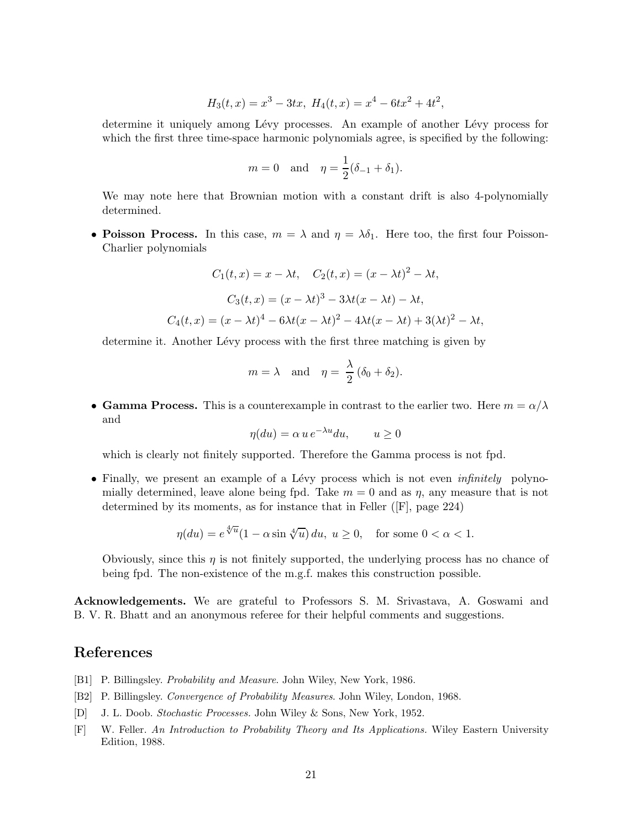$$
H_3(t,x) = x^3 - 3tx, H_4(t,x) = x^4 - 6tx^2 + 4t^2,
$$

determine it uniquely among Lévy processes. An example of another Lévy process for which the first three time-space harmonic polynomials agree, is specified by the following:

$$
m = 0
$$
 and  $\eta = \frac{1}{2}(\delta_{-1} + \delta_1).$ 

We may note here that Brownian motion with a constant drift is also 4-polynomially determined.

• Poisson Process. In this case,  $m = \lambda$  and  $\eta = \lambda \delta_1$ . Here too, the first four Poisson-Charlier polynomials

$$
C_1(t, x) = x - \lambda t, \quad C_2(t, x) = (x - \lambda t)^2 - \lambda t,
$$

$$
C_3(t, x) = (x - \lambda t)^3 - 3\lambda t(x - \lambda t) - \lambda t,
$$

$$
C_4(t, x) = (x - \lambda t)^4 - 6\lambda t(x - \lambda t)^2 - 4\lambda t(x - \lambda t) + 3(\lambda t)^2 - \lambda t,
$$

determine it. Another Lévy process with the first three matching is given by

$$
m = \lambda
$$
 and  $\eta = \frac{\lambda}{2} (\delta_0 + \delta_2).$ 

• Gamma Process. This is a counterexample in contrast to the earlier two. Here  $m = \alpha/\lambda$ and

$$
\eta(du) = \alpha u e^{-\lambda u} du, \qquad u \ge 0
$$

which is clearly not finitely supported. Therefore the Gamma process is not fpd.

• Finally, we present an example of a Lévy process which is not even *infinitely* polynomially determined, leave alone being fpd. Take  $m = 0$  and as  $\eta$ , any measure that is not determined by its moments, as for instance that in Feller ([F], page 224)

$$
\eta(du) = e^{\sqrt[4]{u}} (1 - \alpha \sin \sqrt[4]{u}) du, \ u \ge 0, \quad \text{for some } 0 < \alpha < 1.
$$

Obviously, since this  $\eta$  is not finitely supported, the underlying process has no chance of being fpd. The non-existence of the m.g.f. makes this construction possible.

Acknowledgements. We are grateful to Professors S. M. Srivastava, A. Goswami and B. V. R. Bhatt and an anonymous referee for their helpful comments and suggestions.

# References

- [B1] P. Billingsley. Probability and Measure. John Wiley, New York, 1986.
- [B2] P. Billingsley. Convergence of Probability Measures. John Wiley, London, 1968.
- [D] J. L. Doob. Stochastic Processes. John Wiley & Sons, New York, 1952.
- [F] W. Feller. An Introduction to Probability Theory and Its Applications. Wiley Eastern University Edition, 1988.